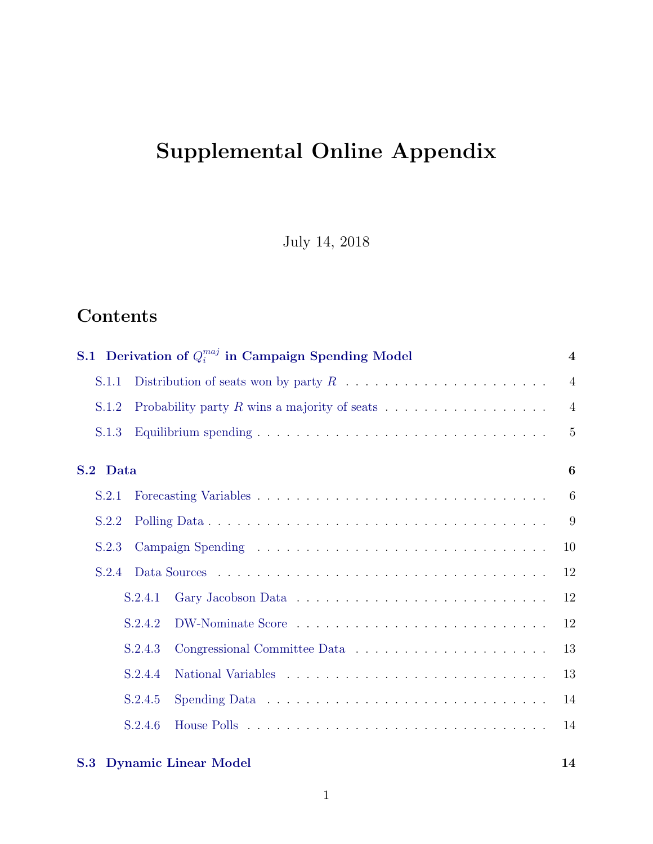# <span id="page-0-0"></span>Supplemental Online Appendix

July 14, 2018

# Contents

|          | S.1 Derivation of $Q_i^{maj}$ in Campaign Spending Model |                                                                                     |                |  |  |  |  |  |  |  |
|----------|----------------------------------------------------------|-------------------------------------------------------------------------------------|----------------|--|--|--|--|--|--|--|
| S.1.1    |                                                          |                                                                                     | $\overline{4}$ |  |  |  |  |  |  |  |
| S.1.2    |                                                          | Probability party $R$ wins a majority of seats $\ldots \ldots \ldots \ldots \ldots$ | $\overline{4}$ |  |  |  |  |  |  |  |
| S.1.3    |                                                          |                                                                                     | $\overline{5}$ |  |  |  |  |  |  |  |
| S.2 Data |                                                          |                                                                                     | 6              |  |  |  |  |  |  |  |
| S.2.1    |                                                          |                                                                                     | 6              |  |  |  |  |  |  |  |
| S.2.2    |                                                          |                                                                                     | 9              |  |  |  |  |  |  |  |
| S.2.3    |                                                          |                                                                                     | 10             |  |  |  |  |  |  |  |
| S.2.4    |                                                          |                                                                                     | 12             |  |  |  |  |  |  |  |
|          | S.2.4.1                                                  |                                                                                     | 12             |  |  |  |  |  |  |  |
|          | S.2.4.2                                                  |                                                                                     | 12             |  |  |  |  |  |  |  |
|          | S.2.4.3                                                  |                                                                                     | 13             |  |  |  |  |  |  |  |
|          | S.2.4.4                                                  |                                                                                     | 13             |  |  |  |  |  |  |  |
|          | S.2.4.5                                                  |                                                                                     | 14             |  |  |  |  |  |  |  |
|          | S.2.4.6                                                  |                                                                                     | 14             |  |  |  |  |  |  |  |
|          |                                                          |                                                                                     |                |  |  |  |  |  |  |  |

## [S.3 Dynamic Linear Model](#page-13-1) 14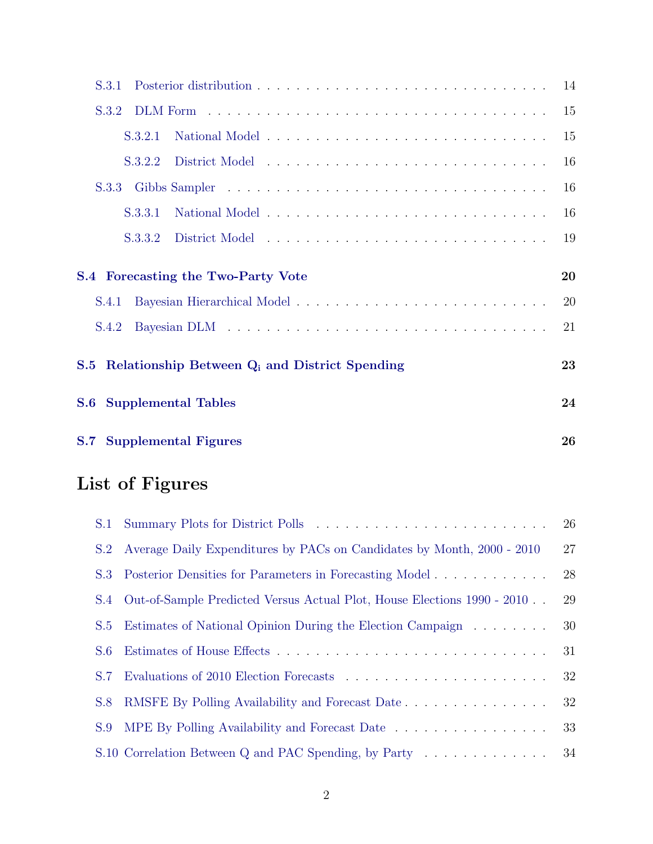| S.3.1                                                                       | 14 |
|-----------------------------------------------------------------------------|----|
| S.3.2                                                                       | 15 |
| S.3.2.1                                                                     | 15 |
| S.3.2.2                                                                     | 16 |
| S.3.3                                                                       | 16 |
| S.3.3.1                                                                     | 16 |
| S.3.3.2                                                                     | 19 |
|                                                                             |    |
| S.4 Forecasting the Two-Party Vote                                          | 20 |
| S.4.1                                                                       | 20 |
| S.4.2                                                                       | 21 |
| Relationship Between Q <sub>i</sub> and District Spending<br>$\mathbf{S.5}$ | 23 |
| <b>Supplemental Tables</b><br>$\bf{S.6}$                                    | 24 |

# List of Figures

|     |                                                                            | 26 |
|-----|----------------------------------------------------------------------------|----|
|     | S.2 Average Daily Expenditures by PACs on Candidates by Month, 2000 - 2010 | 27 |
| S.3 | Posterior Densities for Parameters in Forecasting Model                    | 28 |
| S.4 | Out-of-Sample Predicted Versus Actual Plot, House Elections 1990 - 2010    | 29 |
| S.5 | Estimates of National Opinion During the Election Campaign                 | 30 |
| S.6 |                                                                            | 31 |
| S.7 |                                                                            | 32 |
| S.8 | RMSFE By Polling Availability and Forecast Date                            | 32 |
| S.9 | MPE By Polling Availability and Forecast Date                              | 33 |
|     | S.10 Correlation Between Q and PAC Spending, by Party                      | 34 |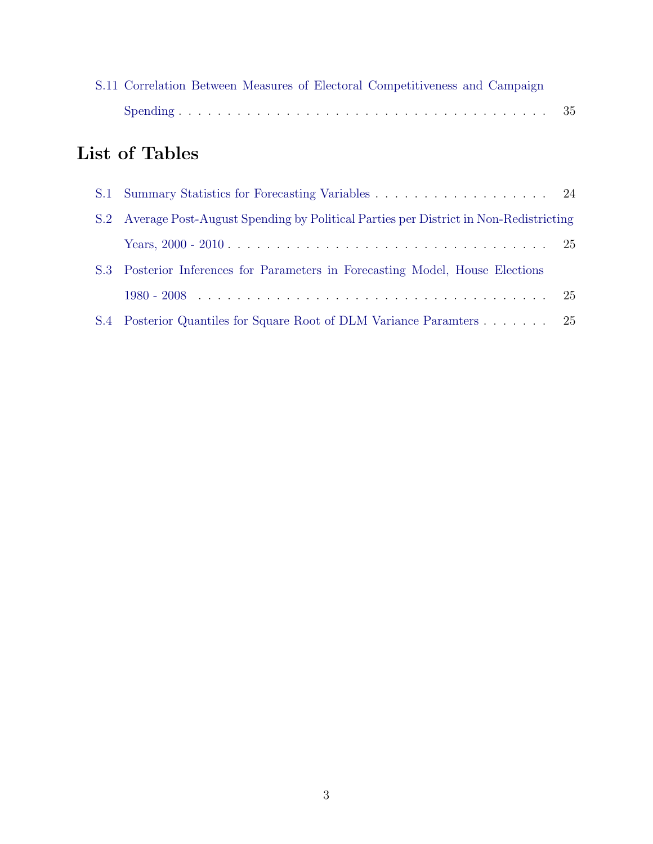|  |  |  | S.11 Correlation Between Measures of Electoral Competitiveness and Campaign |  |  |
|--|--|--|-----------------------------------------------------------------------------|--|--|
|  |  |  |                                                                             |  |  |

# List of Tables

| S.2 Average Post-August Spending by Political Parties per District in Non-Redistricting |  |
|-----------------------------------------------------------------------------------------|--|
|                                                                                         |  |
| S.3 Posterior Inferences for Parameters in Forecasting Model, House Elections           |  |
|                                                                                         |  |
| S.4 Posterior Quantiles for Square Root of DLM Variance Paramters 25                    |  |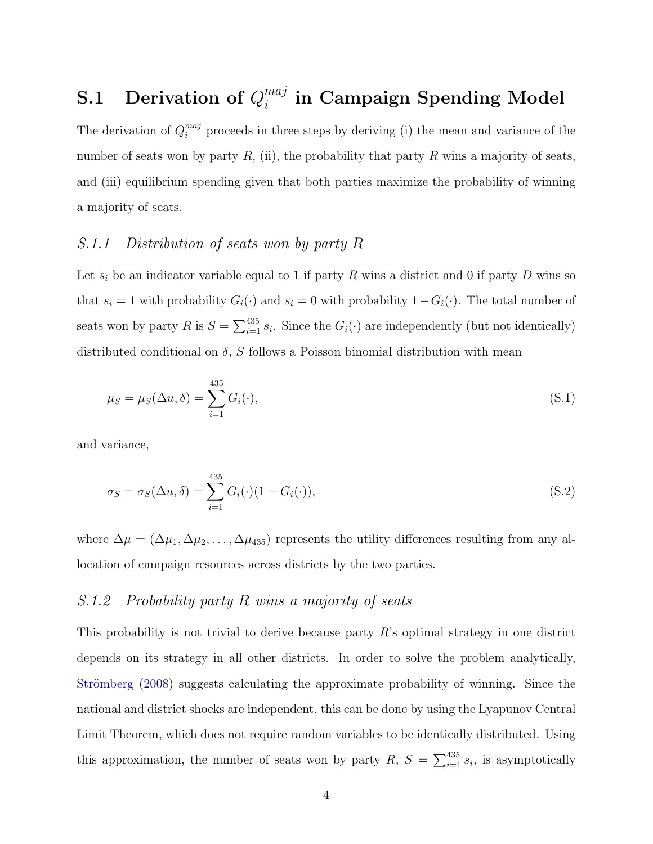### <span id="page-3-0"></span>S.1 Derivation of  $Q_i^{maj}$  $_{i}^{maj}$  in Campaign Spending Model

The derivation of  $Q_i^{maj}$  proceeds in three steps by deriving (i) the mean and variance of the number of seats won by party  $R$ , (ii), the probability that party  $R$  wins a majority of seats, and (iii) equilibrium spending given that both parties maximize the probability of winning a majority of seats.

## <span id="page-3-1"></span>S.1.1 Distribution of seats won by party R

Let  $s_i$  be an indicator variable equal to 1 if party R wins a district and 0 if party D wins so that  $s_i = 1$  with probability  $G_i(\cdot)$  and  $s_i = 0$  with probability  $1 - G_i(\cdot)$ . The total number of seats won by party R is  $S = \sum_{i=1}^{435} s_i$ . Since the  $G_i(\cdot)$  are independently (but not identically) distributed conditional on  $\delta$ , S follows a Poisson binomial distribution with mean

$$
\mu_S = \mu_S(\Delta u, \delta) = \sum_{i=1}^{435} G_i(\cdot),
$$
\n(S.1)

and variance,

$$
\sigma_S = \sigma_S(\Delta u, \delta) = \sum_{i=1}^{435} G_i(\cdot)(1 - G_i(\cdot)),\tag{S.2}
$$

where  $\Delta\mu = (\Delta\mu_1, \Delta\mu_2, \dots, \Delta\mu_{435})$  represents the utility differences resulting from any allocation of campaign resources across districts by the two parties.

## <span id="page-3-2"></span>S.1.2 Probability party R wins a majority of seats

This probability is not trivial to derive because party  $R$ 's optimal strategy in one district depends on its strategy in all other districts. In order to solve the problem analytically, Strömberg [\(2008\)](#page-36-0) suggests calculating the approximate probability of winning. Since the national and district shocks are independent, this can be done by using the Lyapunov Central Limit Theorem, which does not require random variables to be identically distributed. Using this approximation, the number of seats won by party  $R, S = \sum_{i=1}^{435} s_i$ , is asymptotically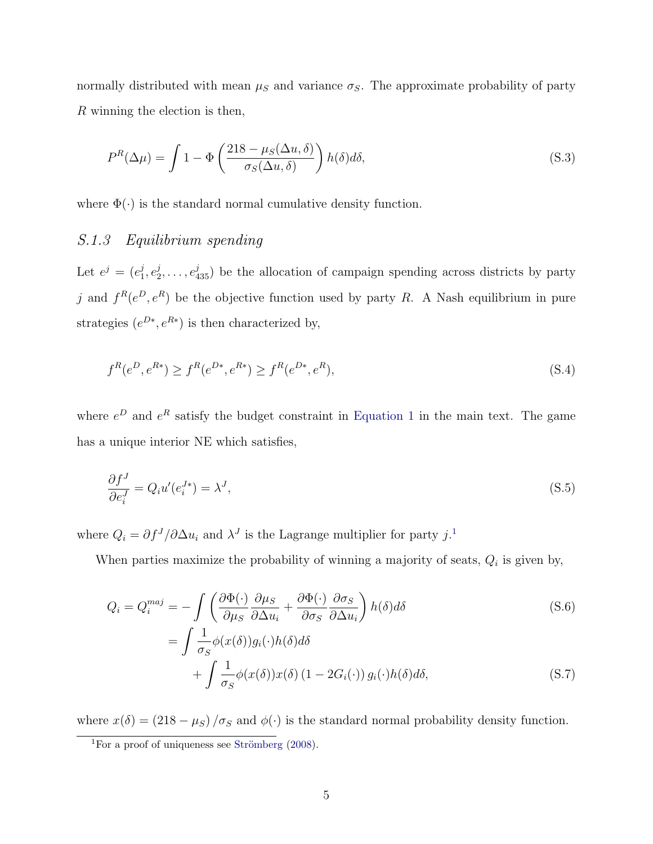normally distributed with mean  $\mu_S$  and variance  $\sigma_S$ . The approximate probability of party R winning the election is then,

$$
P^{R}(\Delta \mu) = \int 1 - \Phi\left(\frac{218 - \mu_S(\Delta u, \delta)}{\sigma_S(\Delta u, \delta)}\right) h(\delta) d\delta,
$$
\n(S.3)

<span id="page-4-0"></span>where  $\Phi(\cdot)$  is the standard normal cumulative density function.

### S.1.3 Equilibrium spending

Let  $e^j = (e_1^j)$  $\frac{j}{1},e_2^j$  $e_2^j, \ldots, e_{435}^j$  be the allocation of campaign spending across districts by party j and  $f^R(e^D, e^R)$  be the objective function used by party R. A Nash equilibrium in pure strategies  $(e^{D*}, e^{R*})$  is then characterized by,

$$
f^{R}(e^{D}, e^{R*}) \ge f^{R}(e^{D*}, e^{R*}) \ge f^{R}(e^{D*}, e^{R}),
$$
\n(S.4)

where  $e^{D}$  and  $e^{R}$  satisfy the budget constraint in [Equation 1](#page-0-0) in the main text. The game has a unique interior NE which satisfies,

$$
\frac{\partial f^J}{\partial e_i^J} = Q_i u'(e_i^{J*}) = \lambda^J,\tag{S.5}
$$

where  $Q_i = \partial f^{J} / \partial \Delta u_i$  and  $\lambda^{J}$  is the Lagrange multiplier for party j.<sup>[1](#page-4-2)</sup>

When parties maximize the probability of winning a majority of seats,  $Q_i$  is given by,

$$
Q_i = Q_i^{maj} = -\int \left( \frac{\partial \Phi(\cdot)}{\partial \mu_S} \frac{\partial \mu_S}{\partial \Delta u_i} + \frac{\partial \Phi(\cdot)}{\partial \sigma_S} \frac{\partial \sigma_S}{\partial \Delta u_i} \right) h(\delta) d\delta
$$
\n
$$
= \int \frac{1}{\sigma_S} \phi(x(\delta)) g_i(\cdot) h(\delta) d\delta + \int \frac{1}{\sigma_S} \phi(x(\delta)) x(\delta) (1 - 2G_i(\cdot)) g_i(\cdot) h(\delta) d\delta,
$$
\n(S.7)

<span id="page-4-1"></span>where  $x(\delta) = (218 - \mu_S)/\sigma_S$  and  $\phi(\cdot)$  is the standard normal probability density function.

<span id="page-4-2"></span><sup>&</sup>lt;sup>1</sup>For a proof of uniqueness see Strömberg  $(2008)$ .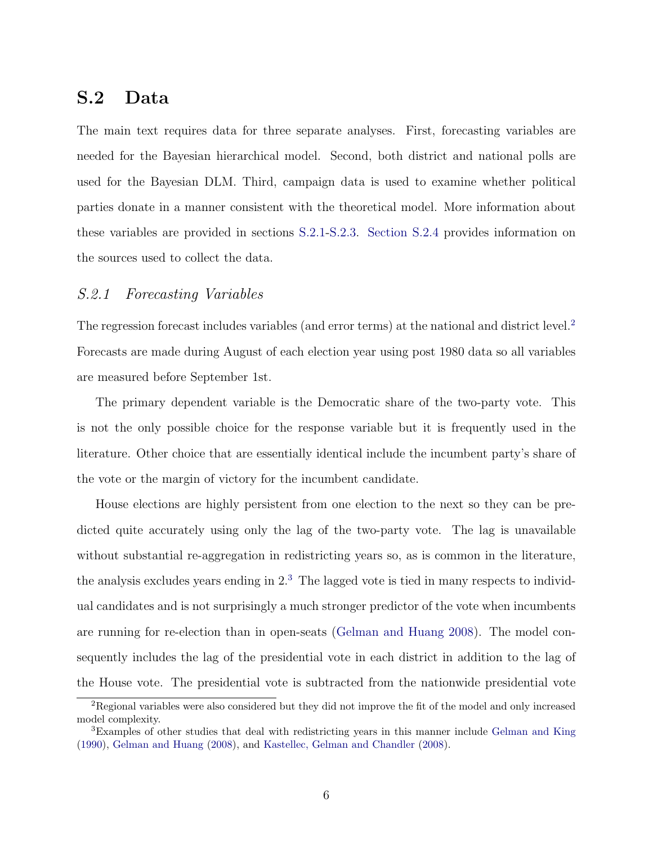# S.2 Data

The main text requires data for three separate analyses. First, forecasting variables are needed for the Bayesian hierarchical model. Second, both district and national polls are used for the Bayesian DLM. Third, campaign data is used to examine whether political parties donate in a manner consistent with the theoretical model. More information about these variables are provided in sections [S.2.1](#page-5-0)[-S.2.3.](#page-8-0) [Section S.2.4](#page-11-0) provides information on the sources used to collect the data.

### <span id="page-5-0"></span>S.2.1 Forecasting Variables

The regression forecast includes variables (and error terms) at the national and district level.<sup>[2](#page-5-1)</sup> Forecasts are made during August of each election year using post 1980 data so all variables are measured before September 1st.

The primary dependent variable is the Democratic share of the two-party vote. This is not the only possible choice for the response variable but it is frequently used in the literature. Other choice that are essentially identical include the incumbent party's share of the vote or the margin of victory for the incumbent candidate.

House elections are highly persistent from one election to the next so they can be predicted quite accurately using only the lag of the two-party vote. The lag is unavailable without substantial re-aggregation in redistricting years so, as is common in the literature, the analysis excludes years ending in  $2<sup>3</sup>$  $2<sup>3</sup>$  $2<sup>3</sup>$ . The lagged vote is tied in many respects to individual candidates and is not surprisingly a much stronger predictor of the vote when incumbents are running for re-election than in open-seats [\(Gelman and Huang](#page-35-0) [2008\)](#page-35-0). The model consequently includes the lag of the presidential vote in each district in addition to the lag of the House vote. The presidential vote is subtracted from the nationwide presidential vote

<span id="page-5-1"></span><sup>2</sup>Regional variables were also considered but they did not improve the fit of the model and only increased model complexity.

<span id="page-5-2"></span><sup>3</sup>Examples of other studies that deal with redistricting years in this manner include [Gelman and King](#page-35-1) [\(1990\)](#page-35-1), [Gelman and Huang](#page-35-0) [\(2008\)](#page-35-0), and [Kastellec, Gelman and Chandler](#page-35-2) [\(2008\)](#page-35-2).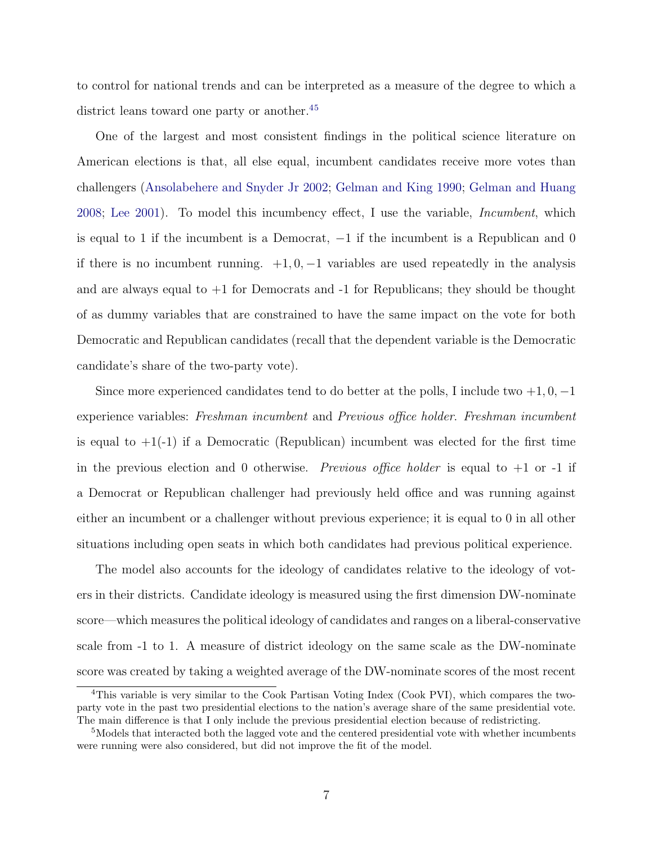to control for national trends and can be interpreted as a measure of the degree to which a district leans toward one party or another.<sup>[4](#page-6-0)[5](#page-6-1)</sup>

One of the largest and most consistent findings in the political science literature on American elections is that, all else equal, incumbent candidates receive more votes than challengers [\(Ansolabehere and Snyder Jr](#page-35-3) [2002;](#page-35-3) [Gelman and King](#page-35-1) [1990;](#page-35-1) [Gelman and Huang](#page-35-0) [2008;](#page-35-0) [Lee](#page-35-4) [2001\)](#page-35-4). To model this incumbency effect, I use the variable, Incumbent, which is equal to 1 if the incumbent is a Democrat,  $-1$  if the incumbent is a Republican and 0 if there is no incumbent running.  $+1, 0, -1$  variables are used repeatedly in the analysis and are always equal to  $+1$  for Democrats and  $-1$  for Republicans; they should be thought of as dummy variables that are constrained to have the same impact on the vote for both Democratic and Republican candidates (recall that the dependent variable is the Democratic candidate's share of the two-party vote).

Since more experienced candidates tend to do better at the polls, I include two  $+1,0,-1$ experience variables: Freshman incumbent and Previous office holder. Freshman incumbent is equal to  $+1(-1)$  if a Democratic (Republican) incumbent was elected for the first time in the previous election and 0 otherwise. Previous office holder is equal to  $+1$  or  $-1$  if a Democrat or Republican challenger had previously held office and was running against either an incumbent or a challenger without previous experience; it is equal to 0 in all other situations including open seats in which both candidates had previous political experience.

The model also accounts for the ideology of candidates relative to the ideology of voters in their districts. Candidate ideology is measured using the first dimension DW-nominate score—which measures the political ideology of candidates and ranges on a liberal-conservative scale from -1 to 1. A measure of district ideology on the same scale as the DW-nominate score was created by taking a weighted average of the DW-nominate scores of the most recent

<span id="page-6-0"></span><sup>&</sup>lt;sup>4</sup>This variable is very similar to the Cook Partisan Voting Index (Cook PVI), which compares the twoparty vote in the past two presidential elections to the nation's average share of the same presidential vote. The main difference is that I only include the previous presidential election because of redistricting.

<span id="page-6-1"></span><sup>5</sup>Models that interacted both the lagged vote and the centered presidential vote with whether incumbents were running were also considered, but did not improve the fit of the model.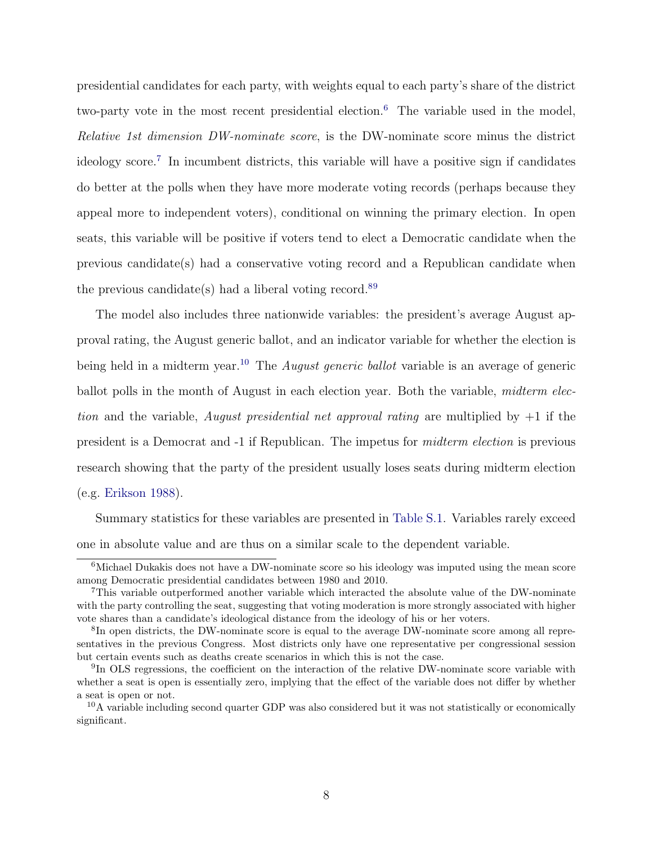presidential candidates for each party, with weights equal to each party's share of the district two-party vote in the most recent presidential election.<sup>[6](#page-7-1)</sup> The variable used in the model, Relative 1st dimension DW-nominate score, is the DW-nominate score minus the district ideology score.<sup>[7](#page-7-2)</sup> In incumbent districts, this variable will have a positive sign if candidates do better at the polls when they have more moderate voting records (perhaps because they appeal more to independent voters), conditional on winning the primary election. In open seats, this variable will be positive if voters tend to elect a Democratic candidate when the previous candidate(s) had a conservative voting record and a Republican candidate when the previous candidate(s) had a liberal voting record.<sup>[8](#page-7-3)[9](#page-7-4)</sup>

The model also includes three nationwide variables: the president's average August approval rating, the August generic ballot, and an indicator variable for whether the election is being held in a midterm year.<sup>[10](#page-7-5)</sup> The *August generic ballot* variable is an average of generic ballot polls in the month of August in each election year. Both the variable, *midterm elec*tion and the variable, August presidential net approval rating are multiplied by  $+1$  if the president is a Democrat and -1 if Republican. The impetus for midterm election is previous research showing that the party of the president usually loses seats during midterm election (e.g. [Erikson](#page-35-5) [1988\)](#page-35-5).

Summary statistics for these variables are presented in [Table S.1.](#page-23-1) Variables rarely exceed one in absolute value and are thus on a similar scale to the dependent variable.

<span id="page-7-1"></span><span id="page-7-0"></span><sup>&</sup>lt;sup>6</sup>Michael Dukakis does not have a DW-nominate score so his ideology was imputed using the mean score among Democratic presidential candidates between 1980 and 2010.

<span id="page-7-2"></span><sup>7</sup>This variable outperformed another variable which interacted the absolute value of the DW-nominate with the party controlling the seat, suggesting that voting moderation is more strongly associated with higher vote shares than a candidate's ideological distance from the ideology of his or her voters.

<span id="page-7-3"></span><sup>&</sup>lt;sup>8</sup>In open districts, the DW-nominate score is equal to the average DW-nominate score among all representatives in the previous Congress. Most districts only have one representative per congressional session but certain events such as deaths create scenarios in which this is not the case.

<span id="page-7-4"></span><sup>&</sup>lt;sup>9</sup>In OLS regressions, the coefficient on the interaction of the relative DW-nominate score variable with whether a seat is open is essentially zero, implying that the effect of the variable does not differ by whether a seat is open or not.

<span id="page-7-5"></span><sup>10</sup>A variable including second quarter GDP was also considered but it was not statistically or economically significant.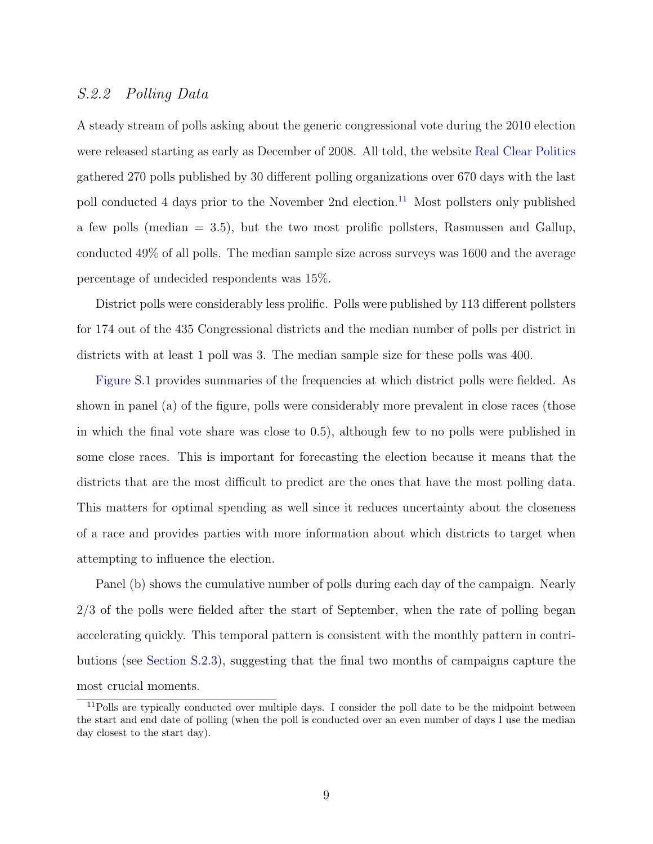### S.2.2 Polling Data

A steady stream of polls asking about the generic congressional vote during the 2010 election were released starting as early as December of 2008. All told, the website [Real Clear Politics](http://www.realclearpolitics.com/) gathered 270 polls published by 30 different polling organizations over 670 days with the last poll conducted 4 days prior to the November 2nd election.<sup>[11](#page-8-1)</sup> Most pollsters only published a few polls (median = 3.5), but the two most prolific pollsters, Rasmussen and Gallup, conducted 49% of all polls. The median sample size across surveys was 1600 and the average percentage of undecided respondents was 15%.

District polls were considerably less prolific. Polls were published by 113 different pollsters for 174 out of the 435 Congressional districts and the median number of polls per district in districts with at least 1 poll was 3. The median sample size for these polls was 400.

[Figure S.1](#page-25-1) provides summaries of the frequencies at which district polls were fielded. As shown in panel (a) of the figure, polls were considerably more prevalent in close races (those in which the final vote share was close to 0.5), although few to no polls were published in some close races. This is important for forecasting the election because it means that the districts that are the most difficult to predict are the ones that have the most polling data. This matters for optimal spending as well since it reduces uncertainty about the closeness of a race and provides parties with more information about which districts to target when attempting to influence the election.

Panel (b) shows the cumulative number of polls during each day of the campaign. Nearly 2/3 of the polls were fielded after the start of September, when the rate of polling began accelerating quickly. This temporal pattern is consistent with the monthly pattern in contributions (see [Section S.2.3\)](#page-8-0), suggesting that the final two months of campaigns capture the most crucial moments.

<span id="page-8-1"></span><span id="page-8-0"></span><sup>&</sup>lt;sup>11</sup>Polls are typically conducted over multiple days. I consider the poll date to be the midpoint between the start and end date of polling (when the poll is conducted over an even number of days I use the median day closest to the start day).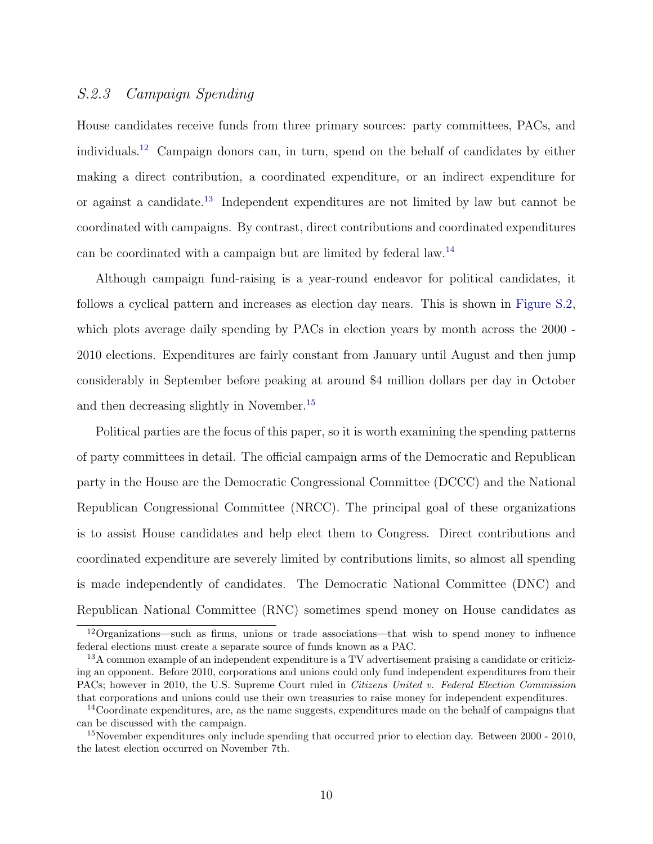### S.2.3 Campaign Spending

House candidates receive funds from three primary sources: party committees, PACs, and individuals.[12](#page-9-0) Campaign donors can, in turn, spend on the behalf of candidates by either making a direct contribution, a coordinated expenditure, or an indirect expenditure for or against a candidate.[13](#page-9-1) Independent expenditures are not limited by law but cannot be coordinated with campaigns. By contrast, direct contributions and coordinated expenditures can be coordinated with a campaign but are limited by federal law.[14](#page-9-2)

Although campaign fund-raising is a year-round endeavor for political candidates, it follows a cyclical pattern and increases as election day nears. This is shown in [Figure S.2,](#page-26-0) which plots average daily spending by PACs in election years by month across the 2000 -2010 elections. Expenditures are fairly constant from January until August and then jump considerably in September before peaking at around \$4 million dollars per day in October and then decreasing slightly in November.[15](#page-9-3)

Political parties are the focus of this paper, so it is worth examining the spending patterns of party committees in detail. The official campaign arms of the Democratic and Republican party in the House are the Democratic Congressional Committee (DCCC) and the National Republican Congressional Committee (NRCC). The principal goal of these organizations is to assist House candidates and help elect them to Congress. Direct contributions and coordinated expenditure are severely limited by contributions limits, so almost all spending is made independently of candidates. The Democratic National Committee (DNC) and Republican National Committee (RNC) sometimes spend money on House candidates as

<span id="page-9-0"></span><sup>12</sup>Organizations—such as firms, unions or trade associations—that wish to spend money to influence federal elections must create a separate source of funds known as a PAC.

<span id="page-9-1"></span> $13A$  common example of an independent expenditure is a TV advertisement praising a candidate or criticizing an opponent. Before 2010, corporations and unions could only fund independent expenditures from their PACs; however in 2010, the U.S. Supreme Court ruled in Citizens United v. Federal Election Commission that corporations and unions could use their own treasuries to raise money for independent expenditures.

<span id="page-9-2"></span> $14$ Coordinate expenditures, are, as the name suggests, expenditures made on the behalf of campaigns that can be discussed with the campaign.

<span id="page-9-3"></span><sup>&</sup>lt;sup>15</sup>November expenditures only include spending that occurred prior to election day. Between 2000 - 2010, the latest election occurred on November 7th.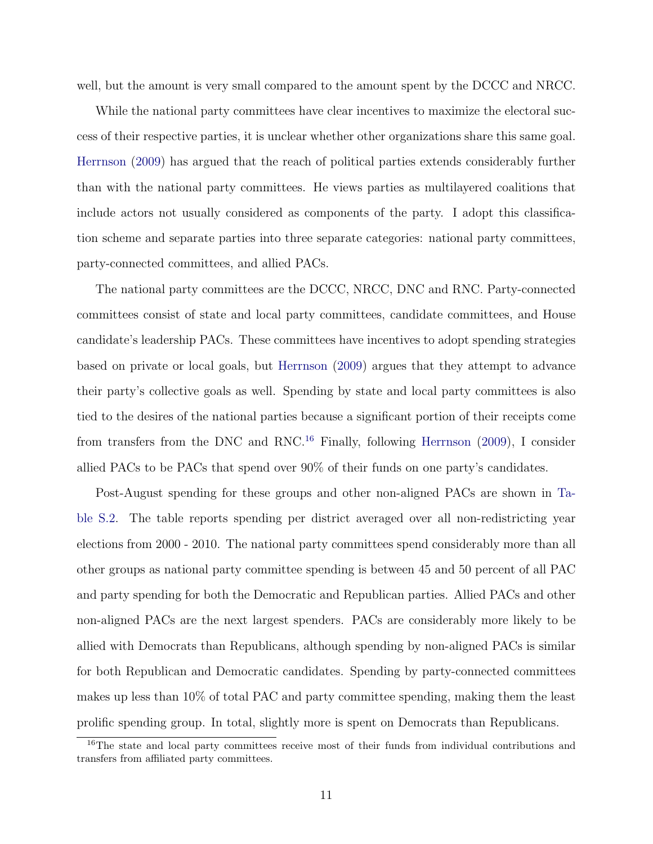well, but the amount is very small compared to the amount spent by the DCCC and NRCC.

While the national party committees have clear incentives to maximize the electoral success of their respective parties, it is unclear whether other organizations share this same goal. [Herrnson](#page-35-6) [\(2009\)](#page-35-6) has argued that the reach of political parties extends considerably further than with the national party committees. He views parties as multilayered coalitions that include actors not usually considered as components of the party. I adopt this classification scheme and separate parties into three separate categories: national party committees, party-connected committees, and allied PACs.

The national party committees are the DCCC, NRCC, DNC and RNC. Party-connected committees consist of state and local party committees, candidate committees, and House candidate's leadership PACs. These committees have incentives to adopt spending strategies based on private or local goals, but [Herrnson](#page-35-6) [\(2009\)](#page-35-6) argues that they attempt to advance their party's collective goals as well. Spending by state and local party committees is also tied to the desires of the national parties because a significant portion of their receipts come from transfers from the DNC and RNC.[16](#page-10-0) Finally, following [Herrnson](#page-35-6) [\(2009\)](#page-35-6), I consider allied PACs to be PACs that spend over 90% of their funds on one party's candidates.

Post-August spending for these groups and other non-aligned PACs are shown in [Ta](#page-24-0)[ble S.2.](#page-24-0) The table reports spending per district averaged over all non-redistricting year elections from 2000 - 2010. The national party committees spend considerably more than all other groups as national party committee spending is between 45 and 50 percent of all PAC and party spending for both the Democratic and Republican parties. Allied PACs and other non-aligned PACs are the next largest spenders. PACs are considerably more likely to be allied with Democrats than Republicans, although spending by non-aligned PACs is similar for both Republican and Democratic candidates. Spending by party-connected committees makes up less than 10% of total PAC and party committee spending, making them the least prolific spending group. In total, slightly more is spent on Democrats than Republicans.

<span id="page-10-0"></span><sup>&</sup>lt;sup>16</sup>The state and local party committees receive most of their funds from individual contributions and transfers from affiliated party committees.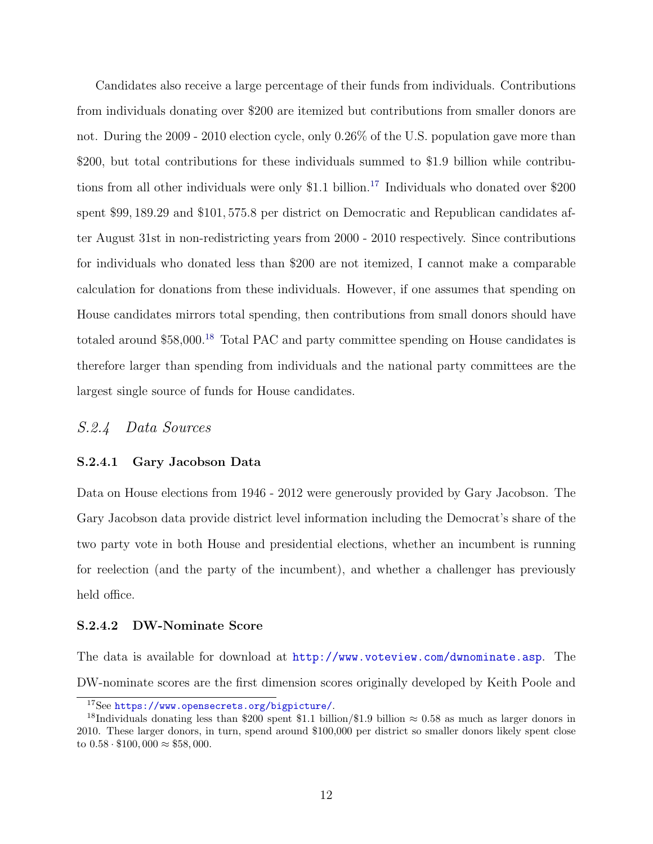Candidates also receive a large percentage of their funds from individuals. Contributions from individuals donating over \$200 are itemized but contributions from smaller donors are not. During the 2009 - 2010 election cycle, only 0.26% of the U.S. population gave more than \$200, but total contributions for these individuals summed to \$1.9 billion while contribu-tions from all other individuals were only \$1.1 billion.<sup>[17](#page-11-3)</sup> Individuals who donated over \$200 spent \$99, 189.29 and \$101, 575.8 per district on Democratic and Republican candidates after August 31st in non-redistricting years from 2000 - 2010 respectively. Since contributions for individuals who donated less than \$200 are not itemized, I cannot make a comparable calculation for donations from these individuals. However, if one assumes that spending on House candidates mirrors total spending, then contributions from small donors should have totaled around \$58,000.<sup>[18](#page-11-4)</sup> Total PAC and party committee spending on House candidates is therefore larger than spending from individuals and the national party committees are the largest single source of funds for House candidates.

### <span id="page-11-0"></span>S.2.4 Data Sources

#### <span id="page-11-1"></span>S.2.4.1 Gary Jacobson Data

Data on House elections from 1946 - 2012 were generously provided by Gary Jacobson. The Gary Jacobson data provide district level information including the Democrat's share of the two party vote in both House and presidential elections, whether an incumbent is running for reelection (and the party of the incumbent), and whether a challenger has previously held office.

#### <span id="page-11-2"></span>S.2.4.2 DW-Nominate Score

The data is available for download at <http://www.voteview.com/dwnominate.asp>. The DW-nominate scores are the first dimension scores originally developed by Keith Poole and

<span id="page-11-4"></span><span id="page-11-3"></span><sup>17</sup>See <https://www.opensecrets.org/bigpicture/>.

<sup>&</sup>lt;sup>18</sup>Individuals donating less than \$200 spent \$1.1 billion/\$1.9 billion  $\approx 0.58$  as much as larger donors in 2010. These larger donors, in turn, spend around \$100,000 per district so smaller donors likely spent close to  $0.58 \cdot \$100,000 \approx \$58,000$ .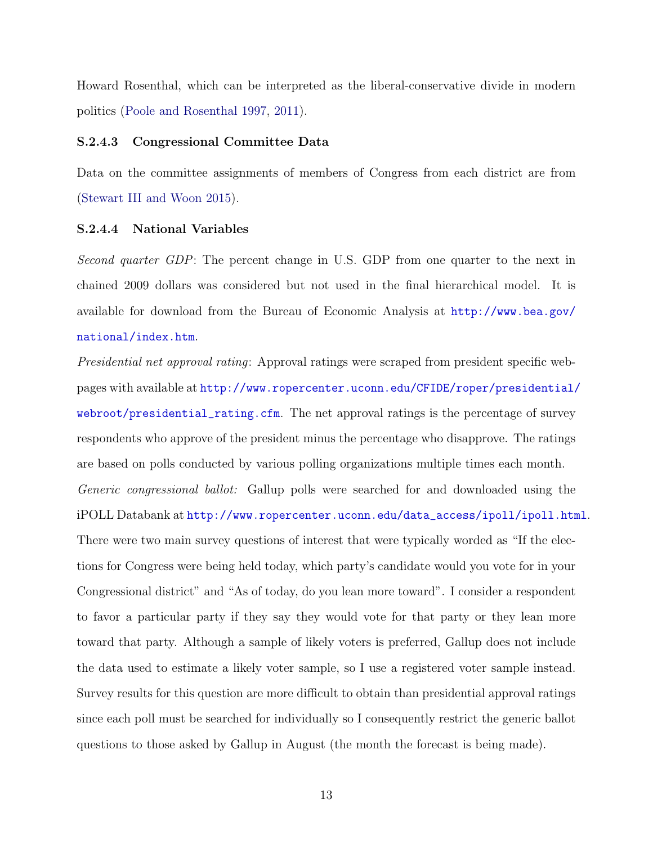Howard Rosenthal, which can be interpreted as the liberal-conservative divide in modern politics [\(Poole and Rosenthal](#page-36-1) [1997,](#page-36-1) [2011\)](#page-36-2).

#### <span id="page-12-0"></span>S.2.4.3 Congressional Committee Data

Data on the committee assignments of members of Congress from each district are from [\(Stewart III and Woon](#page-36-3) [2015\)](#page-36-3).

### <span id="page-12-1"></span>S.2.4.4 National Variables

Second quarter GDP: The percent change in U.S. GDP from one quarter to the next in chained 2009 dollars was considered but not used in the final hierarchical model. It is available for download from the Bureau of Economic Analysis at [http://www.bea.gov/](http://www.bea.gov/national/index.htm) [national/index.htm](http://www.bea.gov/national/index.htm).

<span id="page-12-2"></span>Presidential net approval rating: Approval ratings were scraped from president specific webpages with available at [http://www.ropercenter.uconn.edu/CFIDE/roper/presidential/](http://www.ropercenter.uconn.edu/CFIDE/roper/presidential/webroot/presidential_rating.cfm) [webroot/presidential\\_rating.cfm](http://www.ropercenter.uconn.edu/CFIDE/roper/presidential/webroot/presidential_rating.cfm). The net approval ratings is the percentage of survey respondents who approve of the president minus the percentage who disapprove. The ratings are based on polls conducted by various polling organizations multiple times each month. Generic congressional ballot: Gallup polls were searched for and downloaded using the iPOLL Databank at [http://www.ropercenter.uconn.edu/data\\_access/ipoll/ipoll.html](http://www.ropercenter.uconn.edu/data_access/ipoll/ipoll.html). There were two main survey questions of interest that were typically worded as "If the elections for Congress were being held today, which party's candidate would you vote for in your Congressional district" and "As of today, do you lean more toward". I consider a respondent to favor a particular party if they say they would vote for that party or they lean more toward that party. Although a sample of likely voters is preferred, Gallup does not include the data used to estimate a likely voter sample, so I use a registered voter sample instead. Survey results for this question are more difficult to obtain than presidential approval ratings since each poll must be searched for individually so I consequently restrict the generic ballot questions to those asked by Gallup in August (the month the forecast is being made).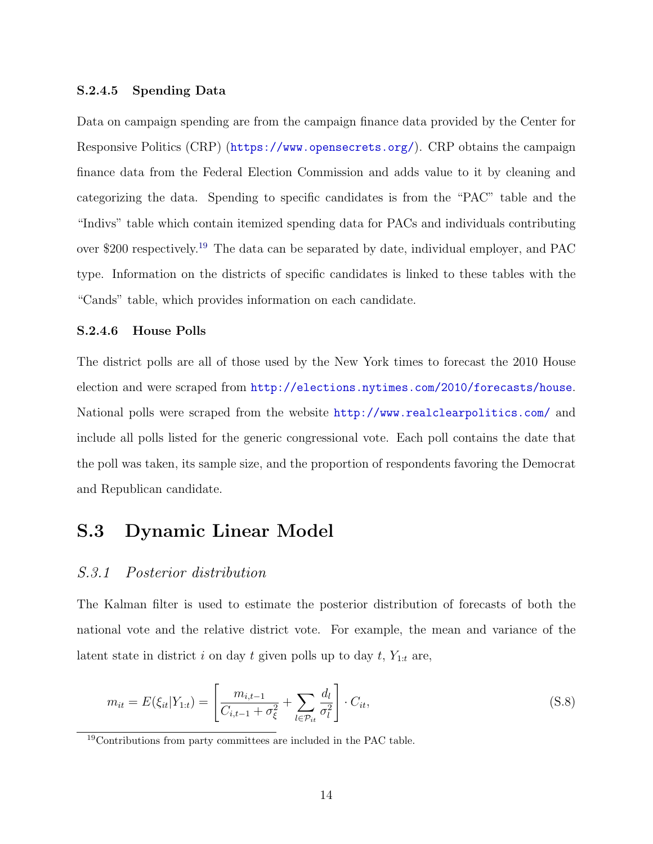#### S.2.4.5 Spending Data

Data on campaign spending are from the campaign finance data provided by the Center for Responsive Politics (CRP) (<https://www.opensecrets.org/>). CRP obtains the campaign finance data from the Federal Election Commission and adds value to it by cleaning and categorizing the data. Spending to specific candidates is from the "PAC" table and the "Indivs" table which contain itemized spending data for PACs and individuals contributing over \$200 respectively.[19](#page-13-3) The data can be separated by date, individual employer, and PAC type. Information on the districts of specific candidates is linked to these tables with the "Cands" table, which provides information on each candidate.

#### <span id="page-13-0"></span>S.2.4.6 House Polls

The district polls are all of those used by the New York times to forecast the 2010 House election and were scraped from <http://elections.nytimes.com/2010/forecasts/house>. National polls were scraped from the website <http://www.realclearpolitics.com/> and include all polls listed for the generic congressional vote. Each poll contains the date that the poll was taken, its sample size, and the proportion of respondents favoring the Democrat and Republican candidate.

# <span id="page-13-1"></span>S.3 Dynamic Linear Model

### <span id="page-13-2"></span>S.3.1 Posterior distribution

The Kalman filter is used to estimate the posterior distribution of forecasts of both the national vote and the relative district vote. For example, the mean and variance of the latent state in district i on day t given polls up to day  $t$ ,  $Y_{1:t}$  are,

$$
m_{it} = E(\xi_{it}|Y_{1:t}) = \left[\frac{m_{i,t-1}}{C_{i,t-1} + \sigma_{\xi}^2} + \sum_{l \in \mathcal{P}_{it}} \frac{d_l}{\sigma_l^2}\right] \cdot C_{it},
$$
\n(S.8)

<span id="page-13-3"></span><sup>19</sup>Contributions from party committees are included in the PAC table.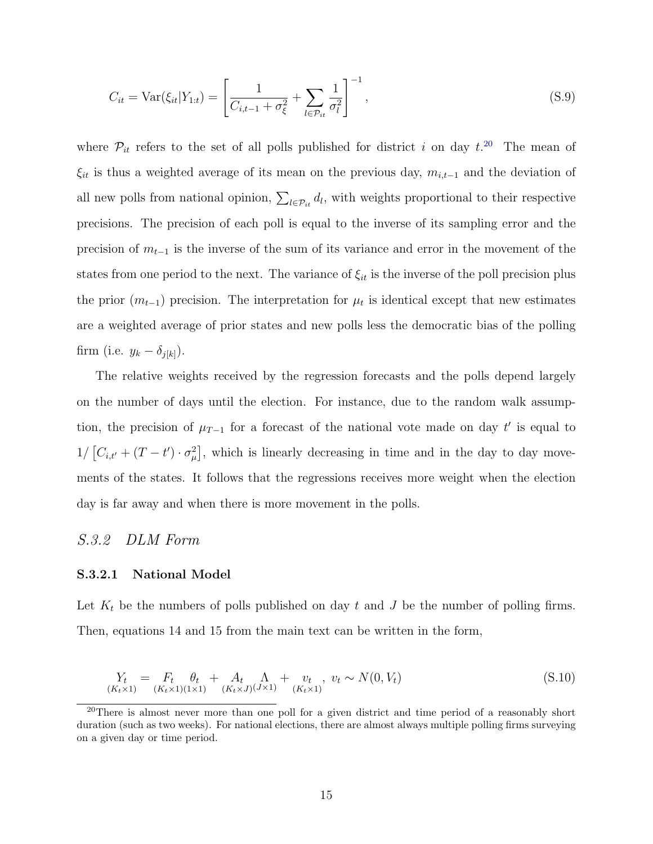$$
C_{it} = \text{Var}(\xi_{it}|Y_{1:t}) = \left[\frac{1}{C_{i,t-1} + \sigma_{\xi}^2} + \sum_{l \in \mathcal{P}_{it}} \frac{1}{\sigma_l^2}\right]^{-1},\tag{S.9}
$$

where  $\mathcal{P}_{it}$  refers to the set of all polls published for district i on day  $t^{20}$  $t^{20}$  $t^{20}$ . The mean of  $\xi_{it}$  is thus a weighted average of its mean on the previous day,  $m_{i,t-1}$  and the deviation of all new polls from national opinion,  $\sum_{l \in \mathcal{P}_{it}} d_l$ , with weights proportional to their respective precisions. The precision of each poll is equal to the inverse of its sampling error and the precision of  $m_{t-1}$  is the inverse of the sum of its variance and error in the movement of the states from one period to the next. The variance of  $\xi_{it}$  is the inverse of the poll precision plus the prior  $(m_{t-1})$  precision. The interpretation for  $\mu_t$  is identical except that new estimates are a weighted average of prior states and new polls less the democratic bias of the polling firm (i.e.  $y_k - \delta_{j[k]}$ ).

The relative weights received by the regression forecasts and the polls depend largely on the number of days until the election. For instance, due to the random walk assumption, the precision of  $\mu_{T-1}$  for a forecast of the national vote made on day t' is equal to  $1/ [C_{i,t'} + (T-t') \cdot \sigma_{\mu}^2]$ , which is linearly decreasing in time and in the day to day movements of the states. It follows that the regressions receives more weight when the election day is far away and when there is more movement in the polls.

### <span id="page-14-0"></span>S.3.2 DLM Form

#### <span id="page-14-1"></span>S.3.2.1 National Model

Let  $K_t$  be the numbers of polls published on day t and J be the number of polling firms. Then, equations 14 and 15 from the main text can be written in the form,

<span id="page-14-3"></span>
$$
Y_t = F_t \theta_t + A_t \Lambda_{(K_t \times 1)(1 \times 1)} + v_t, \ v_t \sim N(0, V_t)
$$
\n
$$
(S.10)
$$

<span id="page-14-2"></span><sup>&</sup>lt;sup>20</sup>There is almost never more than one poll for a given district and time period of a reasonably short duration (such as two weeks). For national elections, there are almost always multiple polling firms surveying on a given day or time period.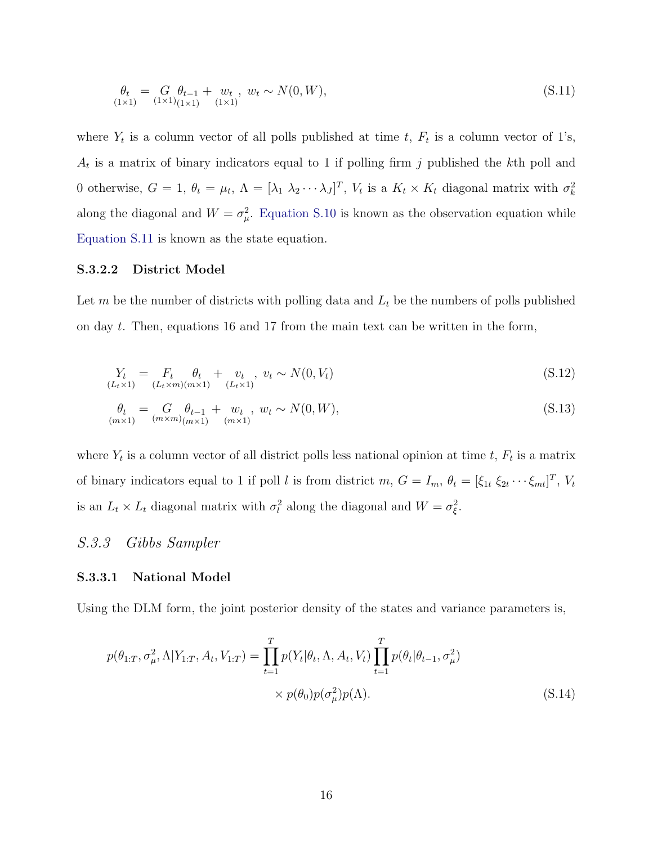<span id="page-15-3"></span>
$$
\begin{aligned} \theta_t &= G \, \theta_{t-1} + w_t \, , \, w_t \sim N(0, W), \\ \text{(1×1)} \, \text{(1×1)} \, \text{(1×1)} \, \end{aligned} \tag{S.11}
$$

where  $Y_t$  is a column vector of all polls published at time t,  $F_t$  is a column vector of 1's,  $A_t$  is a matrix of binary indicators equal to 1 if polling firm j published the kth poll and 0 otherwise,  $G = 1$ ,  $\theta_t = \mu_t$ ,  $\Lambda = [\lambda_1 \lambda_2 \cdots \lambda_J]^T$ ,  $V_t$  is a  $K_t \times K_t$  diagonal matrix with  $\sigma_k^2$ along the diagonal and  $W = \sigma_{\mu}^2$ . [Equation S.10](#page-14-3) is known as the observation equation while [Equation S.11](#page-15-3) is known as the state equation.

### <span id="page-15-0"></span>S.3.2.2 District Model

Let m be the number of districts with polling data and  $L_t$  be the numbers of polls published on day t. Then, equations 16 and 17 from the main text can be written in the form,

<span id="page-15-4"></span>
$$
Y_t = F_t \theta_t + v_t, \quad v_t \sim N(0, V_t) \tag{S.12}
$$
\n
$$
(L_t \times 1) \quad (L_t \times m)(m \times 1) \quad (L_t \times 1)
$$

<span id="page-15-5"></span>
$$
\theta_t = G_{(m \times n)(m \times 1)} + w_t, \quad w_t \sim N(0, W),
$$
\n(S.13)

where  $Y_t$  is a column vector of all district polls less national opinion at time t,  $F_t$  is a matrix of binary indicators equal to 1 if poll l is from district  $m, G = I_m, \theta_t = [\xi_{1t} \xi_{2t} \cdots \xi_{mt}]^T$ ,  $V_t$ is an  $L_t \times L_t$  diagonal matrix with  $\sigma_l^2$  along the diagonal and  $W = \sigma_{\xi}^2$ .

### <span id="page-15-1"></span>S.3.3 Gibbs Sampler

#### <span id="page-15-2"></span>S.3.3.1 National Model

Using the DLM form, the joint posterior density of the states and variance parameters is,

$$
p(\theta_{1:T}, \sigma_{\mu}^2, \Lambda | Y_{1:T}, A_t, V_{1:T}) = \prod_{t=1}^{T} p(Y_t | \theta_t, \Lambda, A_t, V_t) \prod_{t=1}^{T} p(\theta_t | \theta_{t-1}, \sigma_{\mu}^2) \times p(\theta_0) p(\sigma_{\mu}^2) p(\Lambda).
$$
 (S.14)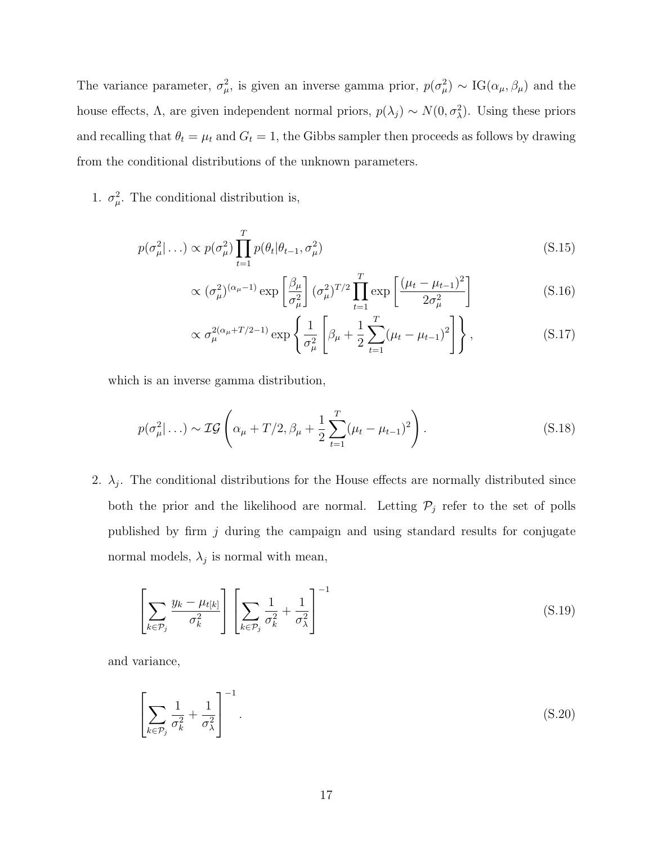The variance parameter,  $\sigma_{\mu}^2$ , is given an inverse gamma prior,  $p(\sigma_{\mu}^2) \sim IG(\alpha_{\mu}, \beta_{\mu})$  and the house effects,  $\Lambda$ , are given independent normal priors,  $p(\lambda_j) \sim N(0, \sigma_\lambda^2)$ . Using these priors and recalling that  $\theta_t = \mu_t$  and  $G_t = 1$ , the Gibbs sampler then proceeds as follows by drawing from the conditional distributions of the unknown parameters.

1.  $\sigma_{\mu}^2$ . The conditional distribution is,

$$
p(\sigma_{\mu}^2|\ldots) \propto p(\sigma_{\mu}^2) \prod_{t=1}^T p(\theta_t|\theta_{t-1}, \sigma_{\mu}^2)
$$
\n(S.15)

$$
\propto (\sigma_\mu^2)^{(\alpha_\mu - 1)} \exp\left[\frac{\beta_\mu}{\sigma_\mu^2}\right] (\sigma_\mu^2)^{T/2} \prod_{t=1}^T \exp\left[\frac{(\mu_t - \mu_{t-1})^2}{2\sigma_\mu^2}\right]
$$
(S.16)

$$
\propto \sigma_{\mu}^{2(\alpha_{\mu}+T/2-1)} \exp\left\{\frac{1}{\sigma_{\mu}^{2}}\left[\beta_{\mu}+\frac{1}{2}\sum_{t=1}^{T}(\mu_{t}-\mu_{t-1})^{2}\right]\right\},
$$
\n(S.17)

which is an inverse gamma distribution,

$$
p(\sigma_{\mu}^{2}|\ldots) \sim \mathcal{IG}\left(\alpha_{\mu} + T/2, \beta_{\mu} + \frac{1}{2}\sum_{t=1}^{T}(\mu_{t} - \mu_{t-1})^{2}\right).
$$
 (S.18)

2.  $\lambda_j$ . The conditional distributions for the House effects are normally distributed since both the prior and the likelihood are normal. Letting  $P_j$  refer to the set of polls published by firm  $j$  during the campaign and using standard results for conjugate normal models,  $\lambda_j$  is normal with mean,

$$
\left[\sum_{k \in \mathcal{P}_j} \frac{y_k - \mu_{t[k]}}{\sigma_k^2} \right] \left[\sum_{k \in \mathcal{P}_j} \frac{1}{\sigma_k^2} + \frac{1}{\sigma_\lambda^2} \right]^{-1} \tag{S.19}
$$

and variance,

$$
\left[\sum_{k \in \mathcal{P}_j} \frac{1}{\sigma_k^2} + \frac{1}{\sigma_\lambda^2}\right]^{-1}.\tag{S.20}
$$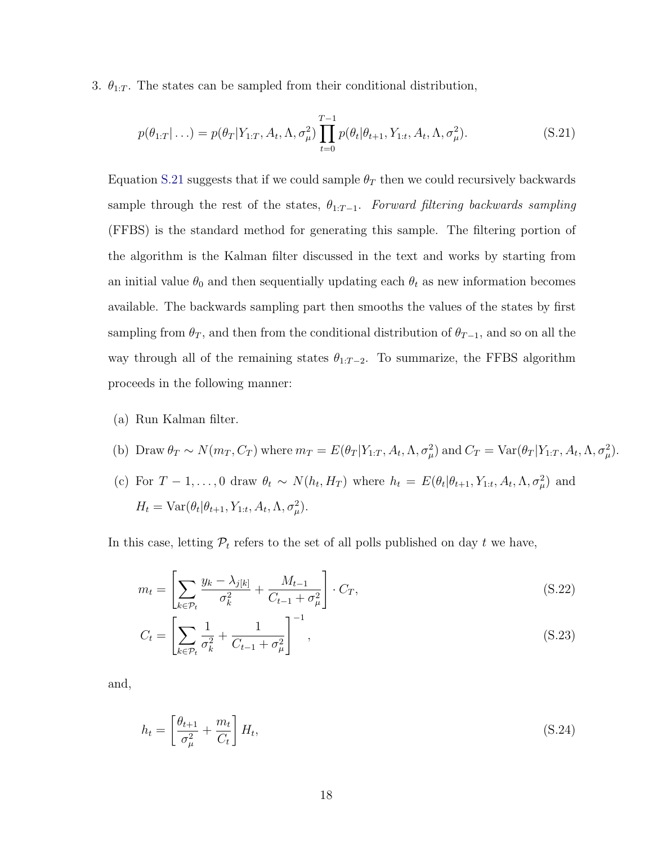3.  $\theta_{1:T}$ . The states can be sampled from their conditional distribution,

<span id="page-17-0"></span>
$$
p(\theta_{1:T} | \ldots) = p(\theta_T | Y_{1:T}, A_t, \Lambda, \sigma_\mu^2) \prod_{t=0}^{T-1} p(\theta_t | \theta_{t+1}, Y_{1:t}, A_t, \Lambda, \sigma_\mu^2).
$$
 (S.21)

Equation [S.21](#page-17-0) suggests that if we could sample  $\theta_T$  then we could recursively backwards sample through the rest of the states,  $\theta_{1:T-1}$ . Forward filtering backwards sampling (FFBS) is the standard method for generating this sample. The filtering portion of the algorithm is the Kalman filter discussed in the text and works by starting from an initial value  $\theta_0$  and then sequentially updating each  $\theta_t$  as new information becomes available. The backwards sampling part then smooths the values of the states by first sampling from  $\theta_T$ , and then from the conditional distribution of  $\theta_{T-1}$ , and so on all the way through all of the remaining states  $\theta_{1:T-2}$ . To summarize, the FFBS algorithm proceeds in the following manner:

- (a) Run Kalman filter.
- (b) Draw  $\theta_T \sim N(m_T, C_T)$  where  $m_T = E(\theta_T | Y_{1:T}, A_t, \Lambda, \sigma_\mu^2)$  and  $C_T = \text{Var}(\theta_T | Y_{1:T}, A_t, \Lambda, \sigma_\mu^2)$ .
- (c) For  $T-1,\ldots,0$  draw  $\theta_t \sim N(h_t, H_T)$  where  $h_t = E(\theta_t | \theta_{t+1}, Y_{1:t}, A_t, \Lambda, \sigma^2_{\mu})$  and  $H_t = \text{Var}(\theta_t | \theta_{t+1}, Y_{1:t}, A_t, \Lambda, \sigma_\mu^2).$

In this case, letting  $P_t$  refers to the set of all polls published on day t we have,

$$
m_t = \left[\sum_{k \in \mathcal{P}_t} \frac{y_k - \lambda_{j[k]}}{\sigma_k^2} + \frac{M_{t-1}}{C_{t-1} + \sigma_\mu^2}\right] \cdot C_T,
$$
\n(S.22)

$$
C_t = \left[ \sum_{k \in \mathcal{P}_t} \frac{1}{\sigma_k^2} + \frac{1}{C_{t-1} + \sigma_\mu^2} \right]^{-1},\tag{S.23}
$$

and,

$$
h_t = \left[\frac{\theta_{t+1}}{\sigma_\mu^2} + \frac{m_t}{C_t}\right] H_t,\tag{S.24}
$$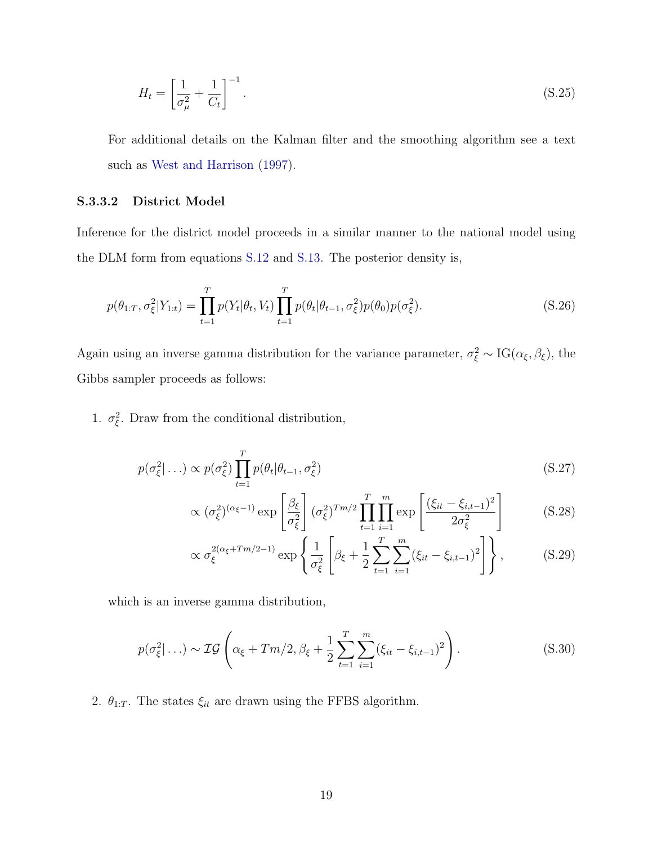$$
H_t = \left[\frac{1}{\sigma_{\mu}^2} + \frac{1}{C_t}\right]^{-1}.\tag{S.25}
$$

For additional details on the Kalman filter and the smoothing algorithm see a text such as [West and Harrison](#page-36-4) [\(1997\)](#page-36-4).

### <span id="page-18-0"></span>S.3.3.2 District Model

Inference for the district model proceeds in a similar manner to the national model using the DLM form from equations [S.12](#page-15-4) and [S.13.](#page-15-5) The posterior density is,

$$
p(\theta_{1:T}, \sigma_{\xi}^2 | Y_{1:t}) = \prod_{t=1}^T p(Y_t | \theta_t, V_t) \prod_{t=1}^T p(\theta_t | \theta_{t-1}, \sigma_{\xi}^2) p(\theta_0) p(\sigma_{\xi}^2).
$$
 (S.26)

Again using an inverse gamma distribution for the variance parameter,  $\sigma_{\xi}^2 \sim IG(\alpha_{\xi}, \beta_{\xi})$ , the Gibbs sampler proceeds as follows:

1.  $\sigma_{\xi}^2$ . Draw from the conditional distribution,

$$
p(\sigma_{\xi}^2 | \ldots) \propto p(\sigma_{\xi}^2) \prod_{t=1}^T p(\theta_t | \theta_{t-1}, \sigma_{\xi}^2)
$$
\n(S.27)

$$
\propto (\sigma_{\xi}^2)^{(\alpha_{\xi}-1)} \exp\left[\frac{\beta_{\xi}}{\sigma_{\xi}^2}\right] (\sigma_{\xi}^2)^{Tm/2} \prod_{t=1}^T \prod_{i=1}^m \exp\left[\frac{(\xi_{it} - \xi_{i,t-1})^2}{2\sigma_{\xi}^2}\right]
$$
(S.28)

$$
\propto \sigma_{\xi}^{2(\alpha_{\xi} + Tm/2 - 1)} \exp\left\{ \frac{1}{\sigma_{\xi}^{2}} \left[ \beta_{\xi} + \frac{1}{2} \sum_{t=1}^{T} \sum_{i=1}^{m} (\xi_{it} - \xi_{i,t-1})^{2} \right] \right\},
$$
 (S.29)

which is an inverse gamma distribution,

$$
p(\sigma_{\xi}^{2}|\ldots) \sim \mathcal{IG}\left(\alpha_{\xi} + Tm/2, \beta_{\xi} + \frac{1}{2} \sum_{t=1}^{T} \sum_{i=1}^{m} (\xi_{it} - \xi_{i,t-1})^{2}\right).
$$
 (S.30)

<span id="page-18-1"></span>2.  $\theta_{1:T}.$  The states  $\xi_{it}$  are drawn using the FFBS algorithm.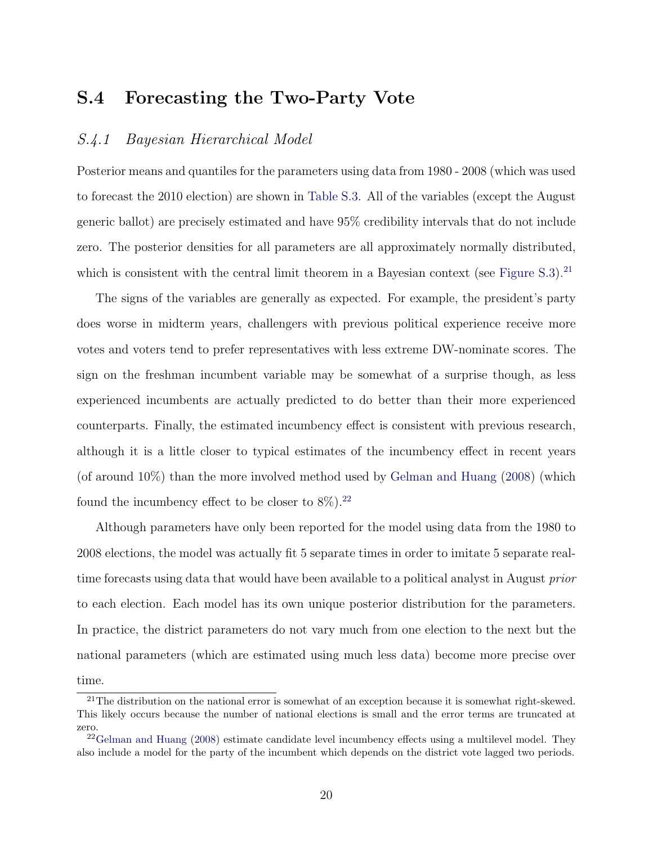# S.4 Forecasting the Two-Party Vote

### <span id="page-19-0"></span>S.4.1 Bayesian Hierarchical Model

Posterior means and quantiles for the parameters using data from 1980 - 2008 (which was used to forecast the 2010 election) are shown in [Table S.3.](#page-24-1) All of the variables (except the August generic ballot) are precisely estimated and have 95% credibility intervals that do not include zero. The posterior densities for all parameters are all approximately normally distributed, which is consistent with the central limit theorem in a Bayesian context (see Figure  $S(3)$ ).<sup>[21](#page-19-1)</sup>

The signs of the variables are generally as expected. For example, the president's party does worse in midterm years, challengers with previous political experience receive more votes and voters tend to prefer representatives with less extreme DW-nominate scores. The sign on the freshman incumbent variable may be somewhat of a surprise though, as less experienced incumbents are actually predicted to do better than their more experienced counterparts. Finally, the estimated incumbency effect is consistent with previous research, although it is a little closer to typical estimates of the incumbency effect in recent years (of around 10%) than the more involved method used by [Gelman and Huang](#page-35-0) [\(2008\)](#page-35-0) (which found the incumbency effect to be closer to  $8\%$ ).<sup>[22](#page-19-2)</sup>

Although parameters have only been reported for the model using data from the 1980 to 2008 elections, the model was actually fit 5 separate times in order to imitate 5 separate realtime forecasts using data that would have been available to a political analyst in August prior to each election. Each model has its own unique posterior distribution for the parameters. In practice, the district parameters do not vary much from one election to the next but the national parameters (which are estimated using much less data) become more precise over time.

<span id="page-19-1"></span> $21$ The distribution on the national error is somewhat of an exception because it is somewhat right-skewed. This likely occurs because the number of national elections is small and the error terms are truncated at zero.

<span id="page-19-2"></span><sup>&</sup>lt;sup>22</sup>[Gelman and Huang](#page-35-0) [\(2008\)](#page-35-0) estimate candidate level incumbency effects using a multilevel model. They also include a model for the party of the incumbent which depends on the district vote lagged two periods.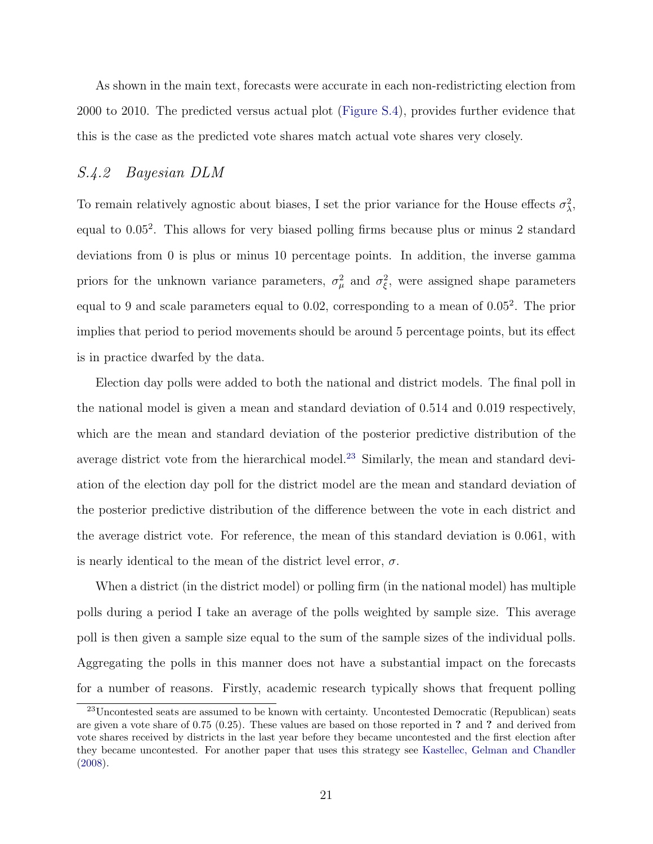As shown in the main text, forecasts were accurate in each non-redistricting election from 2000 to 2010. The predicted versus actual plot [\(Figure S.4\)](#page-28-0), provides further evidence that this is the case as the predicted vote shares match actual vote shares very closely.

## <span id="page-20-0"></span>S.4.2 Bayesian DLM

To remain relatively agnostic about biases, I set the prior variance for the House effects  $\sigma_{\lambda}^2$ , equal to 0.05<sup>2</sup> . This allows for very biased polling firms because plus or minus 2 standard deviations from 0 is plus or minus 10 percentage points. In addition, the inverse gamma priors for the unknown variance parameters,  $\sigma_{\mu}^2$  and  $\sigma_{\xi}^2$ , were assigned shape parameters equal to 9 and scale parameters equal to 0.02, corresponding to a mean of  $0.05<sup>2</sup>$ . The prior implies that period to period movements should be around 5 percentage points, but its effect is in practice dwarfed by the data.

Election day polls were added to both the national and district models. The final poll in the national model is given a mean and standard deviation of 0.514 and 0.019 respectively, which are the mean and standard deviation of the posterior predictive distribution of the average district vote from the hierarchical model.<sup>[23](#page-20-1)</sup> Similarly, the mean and standard deviation of the election day poll for the district model are the mean and standard deviation of the posterior predictive distribution of the difference between the vote in each district and the average district vote. For reference, the mean of this standard deviation is 0.061, with is nearly identical to the mean of the district level error,  $\sigma$ .

When a district (in the district model) or polling firm (in the national model) has multiple polls during a period I take an average of the polls weighted by sample size. This average poll is then given a sample size equal to the sum of the sample sizes of the individual polls. Aggregating the polls in this manner does not have a substantial impact on the forecasts for a number of reasons. Firstly, academic research typically shows that frequent polling

<span id="page-20-1"></span> $^{23}$ Uncontested seats are assumed to be known with certainty. Uncontested Democratic (Republican) seats are given a vote share of 0.75 (0.25). These values are based on those reported in ? and ? and derived from vote shares received by districts in the last year before they became uncontested and the first election after they became uncontested. For another paper that uses this strategy see [Kastellec, Gelman and Chandler](#page-35-2) [\(2008\)](#page-35-2).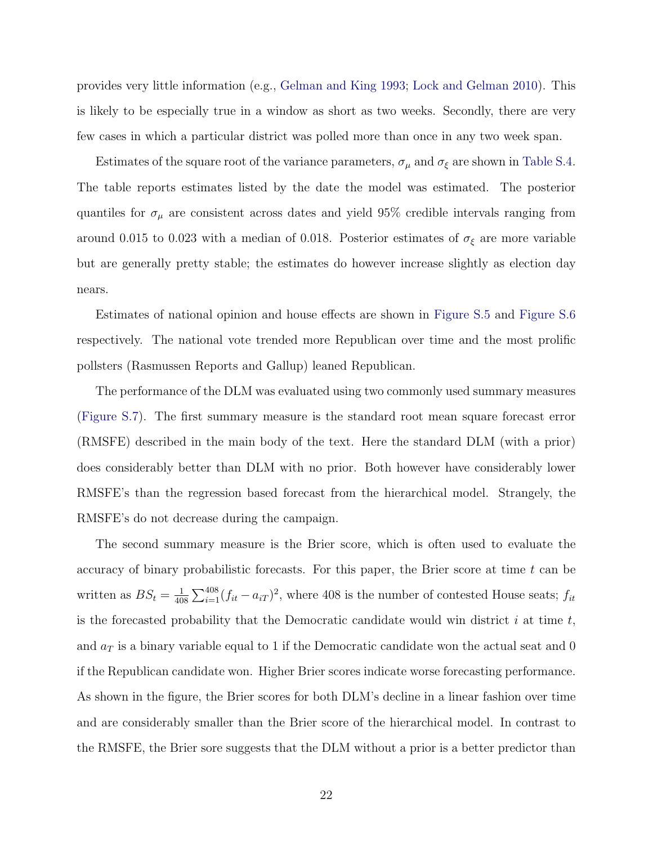provides very little information (e.g., [Gelman and King](#page-35-7) [1993;](#page-35-7) [Lock and Gelman](#page-35-8) [2010\)](#page-35-8). This is likely to be especially true in a window as short as two weeks. Secondly, there are very few cases in which a particular district was polled more than once in any two week span.

Estimates of the square root of the variance parameters,  $\sigma_{\mu}$  and  $\sigma_{\xi}$  are shown in [Table S.4.](#page-24-2) The table reports estimates listed by the date the model was estimated. The posterior quantiles for  $\sigma_{\mu}$  are consistent across dates and yield 95% credible intervals ranging from around 0.015 to 0.023 with a median of 0.018. Posterior estimates of  $\sigma_{\xi}$  are more variable but are generally pretty stable; the estimates do however increase slightly as election day nears.

Estimates of national opinion and house effects are shown in [Figure S.5](#page-29-0) and [Figure S.6](#page-30-0) respectively. The national vote trended more Republican over time and the most prolific pollsters (Rasmussen Reports and Gallup) leaned Republican.

The performance of the DLM was evaluated using two commonly used summary measures [\(Figure S.7\)](#page-31-0). The first summary measure is the standard root mean square forecast error (RMSFE) described in the main body of the text. Here the standard DLM (with a prior) does considerably better than DLM with no prior. Both however have considerably lower RMSFE's than the regression based forecast from the hierarchical model. Strangely, the RMSFE's do not decrease during the campaign.

The second summary measure is the Brier score, which is often used to evaluate the accuracy of binary probabilistic forecasts. For this paper, the Brier score at time  $t$  can be written as  $BS_t = \frac{1}{40}$  $\frac{1}{408} \sum_{i=1}^{408} (f_{it} - a_{iT})^2$ , where 408 is the number of contested House seats;  $f_{it}$ is the forecasted probability that the Democratic candidate would win district  $i$  at time  $t$ , and  $a_T$  is a binary variable equal to 1 if the Democratic candidate won the actual seat and 0 if the Republican candidate won. Higher Brier scores indicate worse forecasting performance. As shown in the figure, the Brier scores for both DLM's decline in a linear fashion over time and are considerably smaller than the Brier score of the hierarchical model. In contrast to the RMSFE, the Brier sore suggests that the DLM without a prior is a better predictor than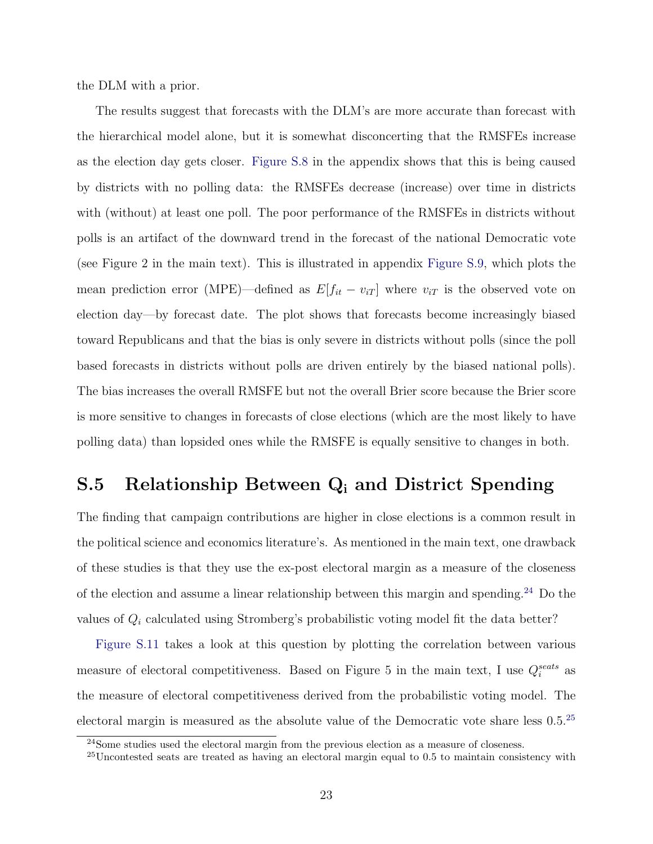the DLM with a prior.

The results suggest that forecasts with the DLM's are more accurate than forecast with the hierarchical model alone, but it is somewhat disconcerting that the RMSFEs increase as the election day gets closer. [Figure S.8](#page-31-1) in the appendix shows that this is being caused by districts with no polling data: the RMSFEs decrease (increase) over time in districts with (without) at least one poll. The poor performance of the RMSFEs in districts without polls is an artifact of the downward trend in the forecast of the national Democratic vote (see Figure 2 in the main text). This is illustrated in appendix [Figure S.9,](#page-32-0) which plots the mean prediction error (MPE)—defined as  $E[f_{it} - v_{iT}]$  where  $v_{iT}$  is the observed vote on election day—by forecast date. The plot shows that forecasts become increasingly biased toward Republicans and that the bias is only severe in districts without polls (since the poll based forecasts in districts without polls are driven entirely by the biased national polls). The bias increases the overall RMSFE but not the overall Brier score because the Brier score is more sensitive to changes in forecasts of close elections (which are the most likely to have polling data) than lopsided ones while the RMSFE is equally sensitive to changes in both.

# <span id="page-22-0"></span>S.5 Relationship Between Q<sup>i</sup> and District Spending

The finding that campaign contributions are higher in close elections is a common result in the political science and economics literature's. As mentioned in the main text, one drawback of these studies is that they use the ex-post electoral margin as a measure of the closeness of the election and assume a linear relationship between this margin and spending.[24](#page-22-1) Do the values of  $Q_i$  calculated using Stromberg's probabilistic voting model fit the data better?

[Figure S.11](#page-34-0) takes a look at this question by plotting the correlation between various measure of electoral competitiveness. Based on Figure 5 in the main text, I use  $Q_i^{seats}$  as the measure of electoral competitiveness derived from the probabilistic voting model. The electoral margin is measured as the absolute value of the Democratic vote share less 0.5.[25](#page-22-2)

<span id="page-22-1"></span><sup>&</sup>lt;sup>24</sup>Some studies used the electoral margin from the previous election as a measure of closeness.

<span id="page-22-2"></span><sup>25</sup>Uncontested seats are treated as having an electoral margin equal to 0.5 to maintain consistency with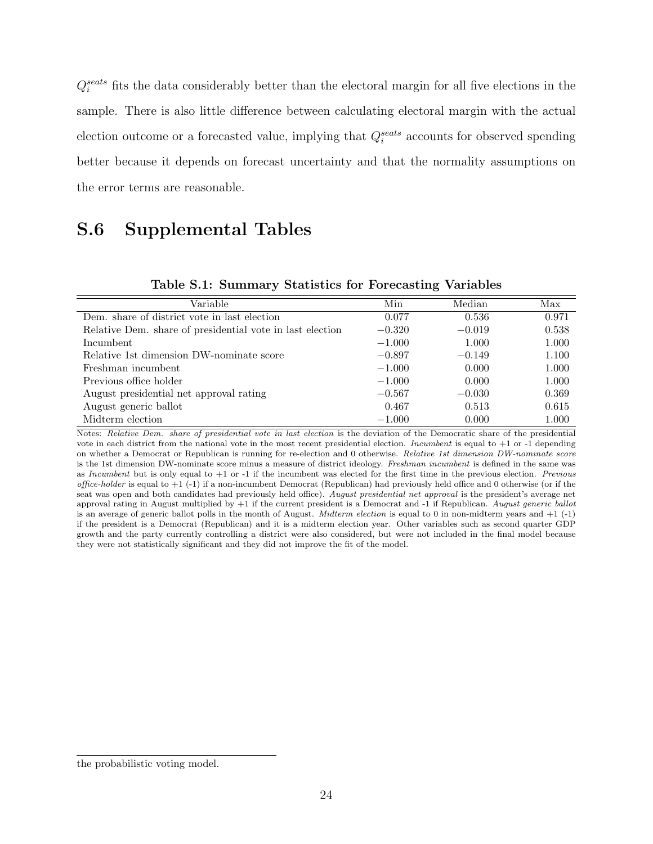$Q_i^{seats}$  fits the data considerably better than the electoral margin for all five elections in the sample. There is also little difference between calculating electoral margin with the actual election outcome or a forecasted value, implying that  $Q_i^{seats}$  accounts for observed spending better because it depends on forecast uncertainty and that the normality assumptions on the error terms are reasonable.

# <span id="page-23-0"></span>S.6 Supplemental Tables

<span id="page-23-1"></span>

| Variable                                                  | Min      | Median   | Max   |
|-----------------------------------------------------------|----------|----------|-------|
| Dem. share of district vote in last election              | 0.077    | 0.536    | 0.971 |
| Relative Dem. share of presidential vote in last election | $-0.320$ | $-0.019$ | 0.538 |
| Incumbent                                                 | $-1.000$ | 1.000    | 1.000 |
| Relative 1st dimension DW-nominate score                  | $-0.897$ | $-0.149$ | 1.100 |
| Freshman incumbent                                        | $-1.000$ | 0.000    | 1.000 |
| Previous office holder                                    | $-1.000$ | 0.000    | 1.000 |
| August presidential net approval rating                   | $-0.567$ | $-0.030$ | 0.369 |
| August generic ballot                                     | 0.467    | 0.513    | 0.615 |
| Midterm election                                          | $-1.000$ | 0.000    | 1.000 |

<span id="page-23-2"></span>Table S.1: Summary Statistics for Forecasting Variables

Notes: Relative Dem. share of presidential vote in last election is the deviation of the Democratic share of the presidential vote in each district from the national vote in the most recent presidential election. *Incumbent* is equal to  $+1$  or  $-1$  depending on whether a Democrat or Republican is running for re-election and 0 otherwise. Relative 1st dimension DW-nominate score is the 1st dimension DW-nominate score minus a measure of district ideology. Freshman incumbent is defined in the same was as Incumbent but is only equal to +1 or -1 if the incumbent was elected for the first time in the previous election. Previous office-holder is equal to  $+1$  (-1) if a non-incumbent Democrat (Republican) had previously held office and 0 otherwise (or if the seat was open and both candidates had previously held office). August presidential net approval is the president's average net approval rating in August multiplied by  $+1$  if the current president is a Democrat and  $-1$  if Republican. August generic ballot is an average of generic ballot polls in the month of August. *Midterm election* is equal to 0 in non-midterm years and  $+1$  (-1) if the president is a Democrat (Republican) and it is a midterm election year. Other variables such as second quarter GDP growth and the party currently controlling a district were also considered, but were not included in the final model because they were not statistically significant and they did not improve the fit of the model.

the probabilistic voting model.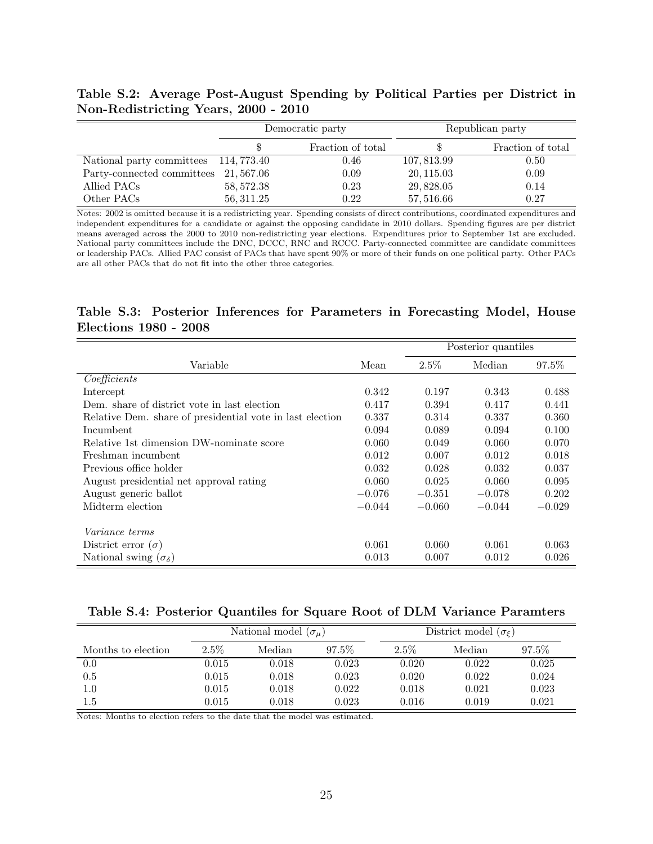<span id="page-24-0"></span>Table S.2: Average Post-August Spending by Political Parties per District in Non-Redistricting Years, 2000 - 2010

|                                      |            | Democratic party  | Republican party |                   |  |
|--------------------------------------|------------|-------------------|------------------|-------------------|--|
|                                      |            | Fraction of total |                  | Fraction of total |  |
| National party committees 114,773.40 |            | 0.46              | 107, 813.99      | 0.50              |  |
| Party-connected committees 21,567.06 |            | 0.09              | 20, 115.03       | 0.09              |  |
| Allied PACs                          | 58, 572.38 | 0.23              | 29,828.05        | 0.14              |  |
| Other PACs                           | 56, 311.25 | 0.22              | 57, 516.66       | 0.27              |  |

Notes: 2002 is omitted because it is a redistricting year. Spending consists of direct contributions, coordinated expenditures and independent expenditures for a candidate or against the opposing candidate in 2010 dollars. Spending figures are per district means averaged across the 2000 to 2010 non-redistricting year elections. Expenditures prior to September 1st are excluded. National party committees include the DNC, DCCC, RNC and RCCC. Party-connected committee are candidate committees or leadership PACs. Allied PAC consist of PACs that have spent 90% or more of their funds on one political party. Other PACs are all other PACs that do not fit into the other three categories.

### <span id="page-24-1"></span>Table S.3: Posterior Inferences for Parameters in Forecasting Model, House Elections 1980 - 2008

|                                                           |          | Posterior quantiles |          |          |  |
|-----------------------------------------------------------|----------|---------------------|----------|----------|--|
| Variable                                                  | Mean     | $2.5\%$             | Median   | 97.5%    |  |
| Coefficients                                              |          |                     |          |          |  |
| Intercept                                                 | 0.342    | 0.197               | 0.343    | 0.488    |  |
| Dem. share of district vote in last election              | 0.417    | 0.394               | 0.417    | 0.441    |  |
| Relative Dem. share of presidential vote in last election | 0.337    | 0.314               | 0.337    | 0.360    |  |
| Incumbent                                                 | 0.094    | 0.089               | 0.094    | 0.100    |  |
| Relative 1st dimension DW-nominate score                  | 0.060    | 0.049               | 0.060    | 0.070    |  |
| Freshman incumbent                                        | 0.012    | 0.007               | 0.012    | 0.018    |  |
| Previous office holder                                    | 0.032    | 0.028               | 0.032    | 0.037    |  |
| August presidential net approval rating                   | 0.060    | 0.025               | 0.060    | 0.095    |  |
| August generic ballot                                     | $-0.076$ | $-0.351$            | $-0.078$ | 0.202    |  |
| Midterm election                                          | $-0.044$ | $-0.060$            | $-0.044$ | $-0.029$ |  |
|                                                           |          |                     |          |          |  |
| <i>Variance terms</i>                                     |          |                     |          |          |  |
| District error $(\sigma)$                                 | 0.061    | 0.060               | 0.061    | 0.063    |  |
| National swing $(\sigma_{\delta})$                        | 0.013    | 0.007               | 0.012    | 0.026    |  |

<span id="page-24-2"></span>

|  |  | Table S.4: Posterior Quantiles for Square Root of DLM Variance Paramters |
|--|--|--------------------------------------------------------------------------|
|  |  |                                                                          |

|                    | National model $(\sigma_u)$ |        |          | District model $(\sigma_{\xi})$ |        |       |
|--------------------|-----------------------------|--------|----------|---------------------------------|--------|-------|
| Months to election | $2.5\%$                     | Median | $97.5\%$ | $2.5\%$                         | Median | 97.5% |
| 0.0                | 0.015                       | 0.018  | 0.023    | 0.020                           | 0.022  | 0.025 |
| 0.5                | 0.015                       | 0.018  | 0.023    | 0.020                           | 0.022  | 0.024 |
| $1.0\,$            | 0.015                       | 0.018  | 0.022    | 0.018                           | 0.021  | 0.023 |
| $1.5\,$            | $\,0.015\,$                 | 0.018  | 0.023    | 0.016                           | 0.019  | 0.021 |

Notes: Months to election refers to the date that the model was estimated.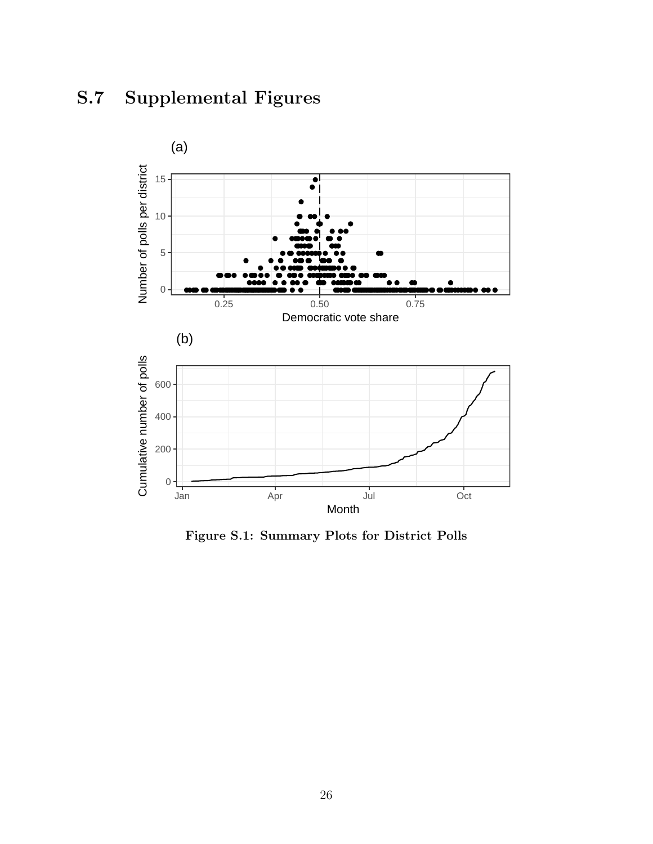# <span id="page-25-1"></span><span id="page-25-0"></span>S.7 Supplemental Figures



Figure S.1: Summary Plots for District Polls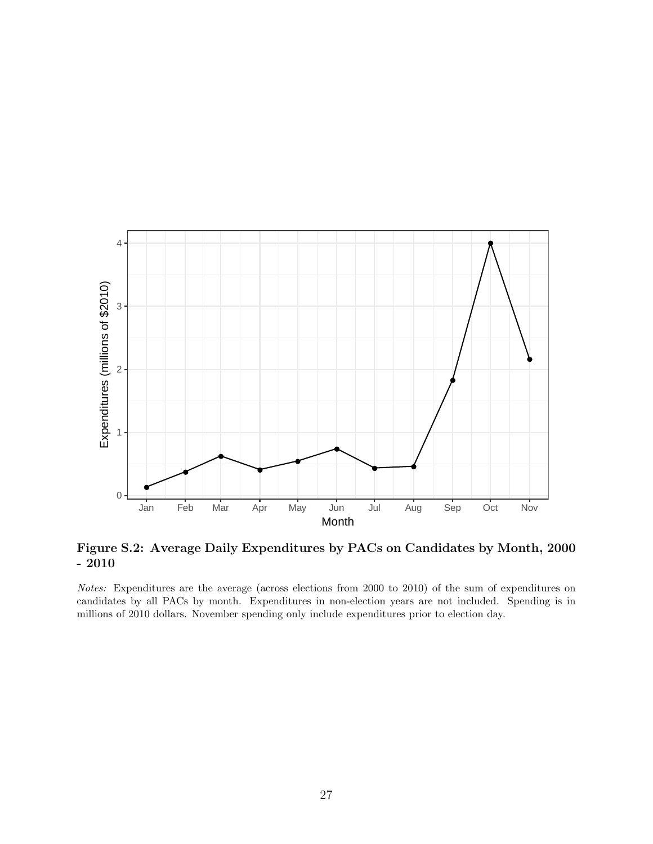<span id="page-26-0"></span>

Figure S.2: Average Daily Expenditures by PACs on Candidates by Month, 2000 - 2010

Notes: Expenditures are the average (across elections from 2000 to 2010) of the sum of expenditures on candidates by all PACs by month. Expenditures in non-election years are not included. Spending is in millions of 2010 dollars. November spending only include expenditures prior to election day.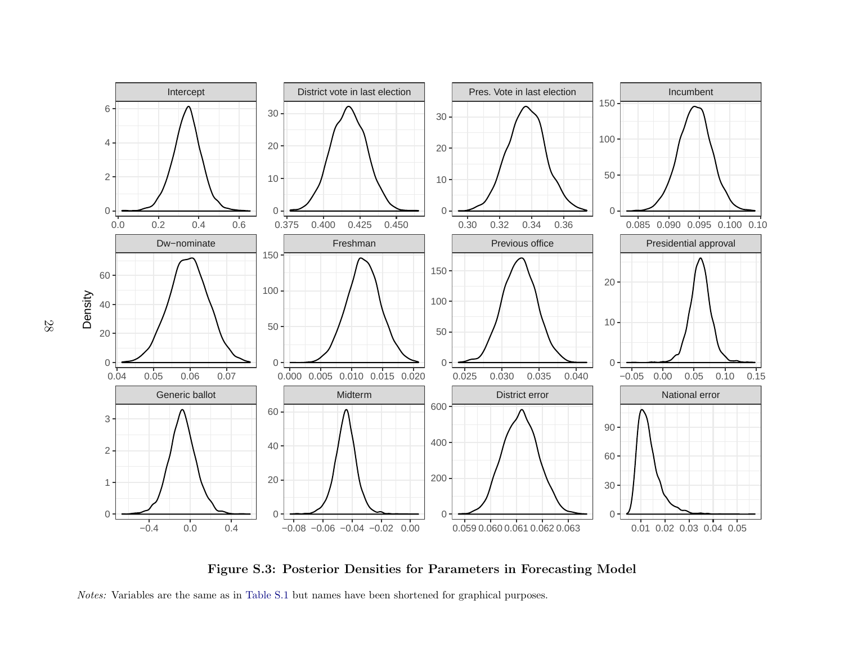<span id="page-27-0"></span>

Figure S.3: Posterior Densities for Parameters in Forecasting Model

Notes: Variables are the same as in [Table](#page-23-2) S.1 but names have been shortened for graphical purposes.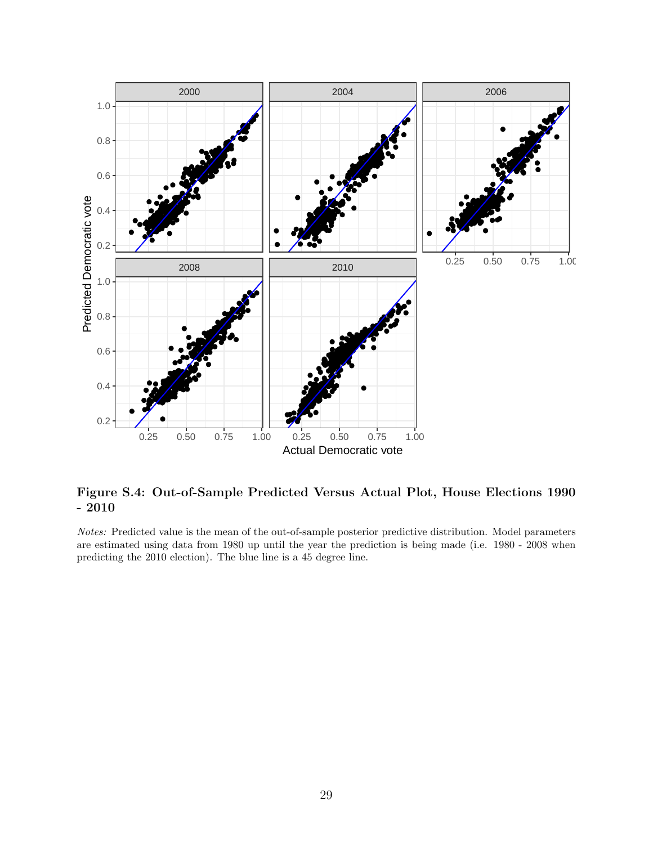<span id="page-28-0"></span>

Figure S.4: Out-of-Sample Predicted Versus Actual Plot, House Elections 1990  $-2010$ 

Notes: Predicted value is the mean of the out-of-sample posterior predictive distribution. Model parameters are estimated using data from 1980 up until the year the prediction is being made (i.e. 1980 - 2008 when predicting the 2010 election). The blue line is a 45 degree line.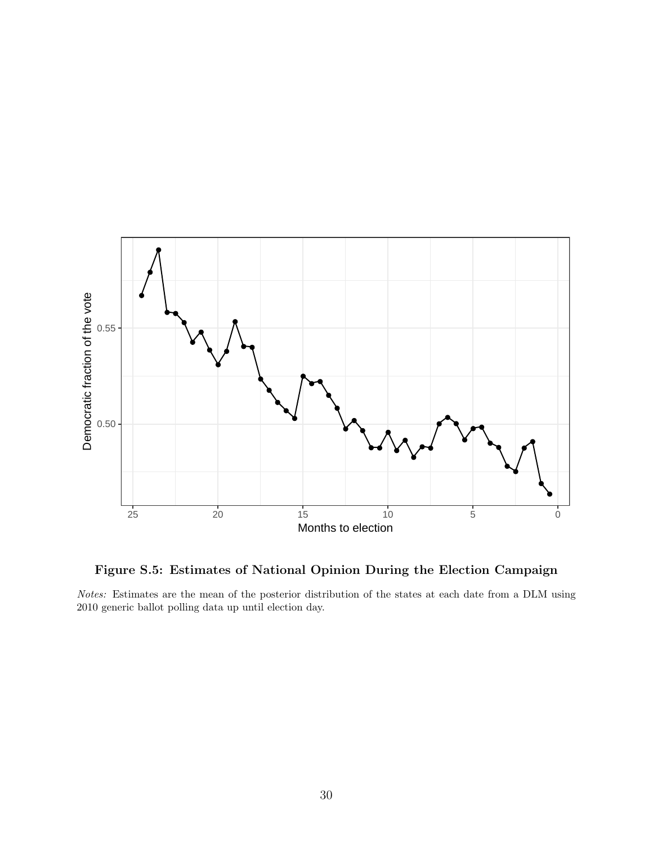<span id="page-29-0"></span>

Figure S.5: Estimates of National Opinion During the Election Campaign

Notes: Estimates are the mean of the posterior distribution of the states at each date from a DLM using 2010 generic ballot polling data up until election day.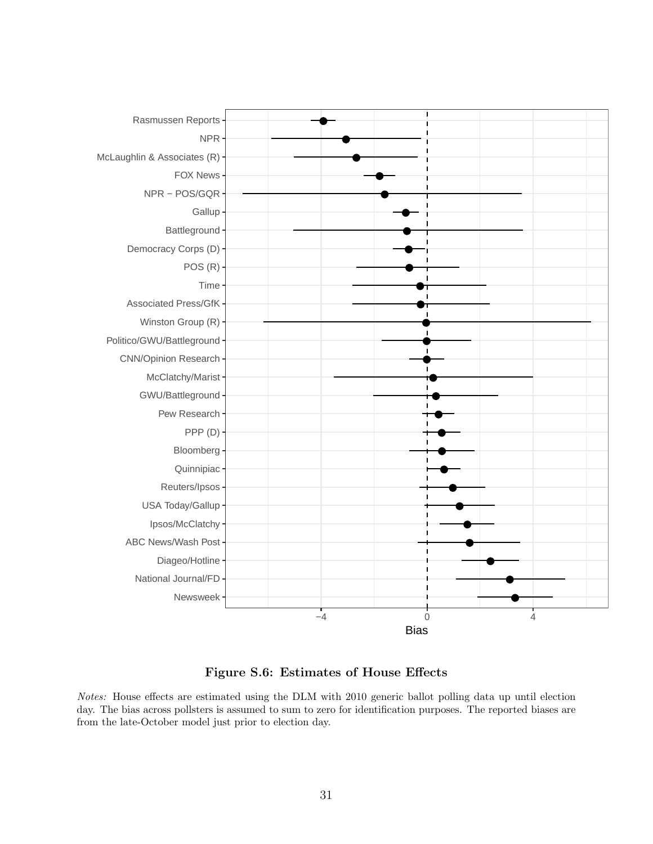<span id="page-30-0"></span>

Figure S.6: Estimates of House Effects

Notes: House effects are estimated using the DLM with 2010 generic ballot polling data up until election day. The bias across pollsters is assumed to sum to zero for identification purposes. The reported biases are from the late-October model just prior to election day.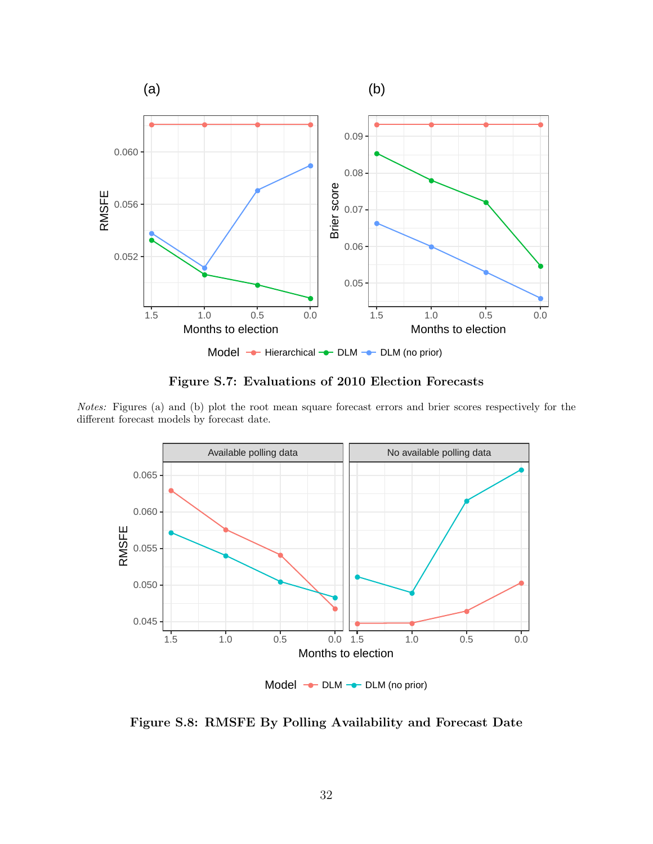<span id="page-31-0"></span>

Figure S.7: Evaluations of 2010 Election Forecasts

Notes: Figures (a) and (b) plot the root mean square forecast errors and brier scores respectively for the different forecast models by forecast date.

<span id="page-31-1"></span>

Figure S.8: RMSFE By Polling Availability and Forecast Date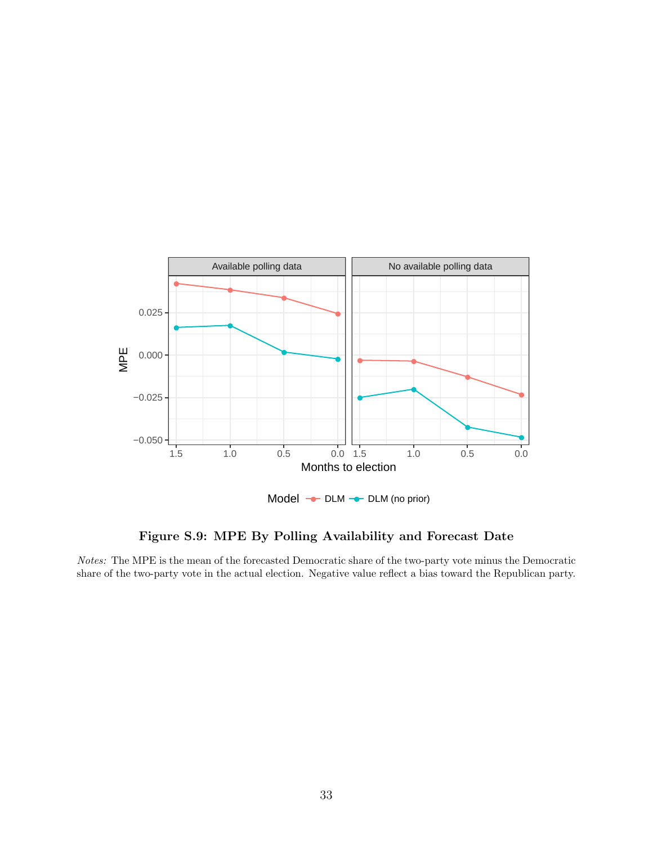<span id="page-32-0"></span>

Figure S.9: MPE By Polling Availability and Forecast Date

Notes: The MPE is the mean of the forecasted Democratic share of the two-party vote minus the Democratic share of the two-party vote in the actual election. Negative value reflect a bias toward the Republican party.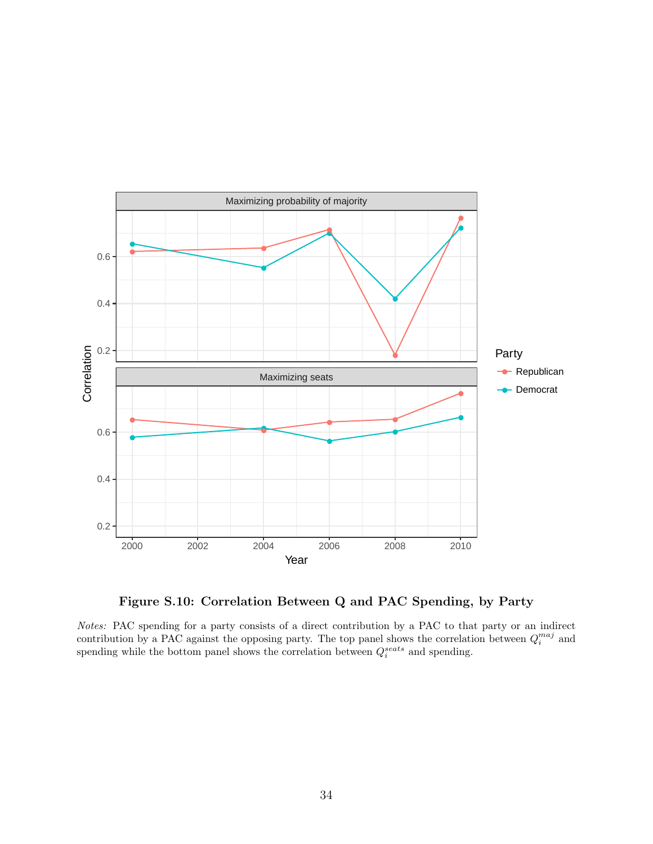<span id="page-33-0"></span>

Figure S.10: Correlation Between Q and PAC Spending, by Party

Notes: PAC spending for a party consists of a direct contribution by a PAC to that party or an indirect contribution by a PAC against the opposing party. The top panel shows the correlation between  $Q_i^{maj}$  and spending while the bottom panel shows the correlation between  $Q_i^{seats}$  and spending.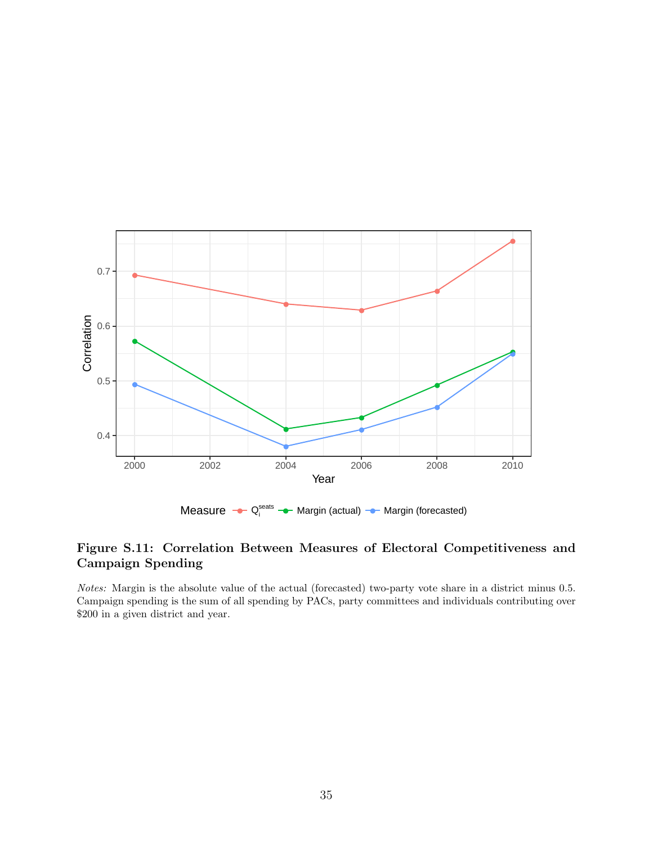<span id="page-34-0"></span>

### Figure S.11: Correlation Between Measures of Electoral Competitiveness and Campaign Spending

Notes: Margin is the absolute value of the actual (forecasted) two-party vote share in a district minus 0.5. Campaign spending is the sum of all spending by PACs, party committees and individuals contributing over \$200 in a given district and year.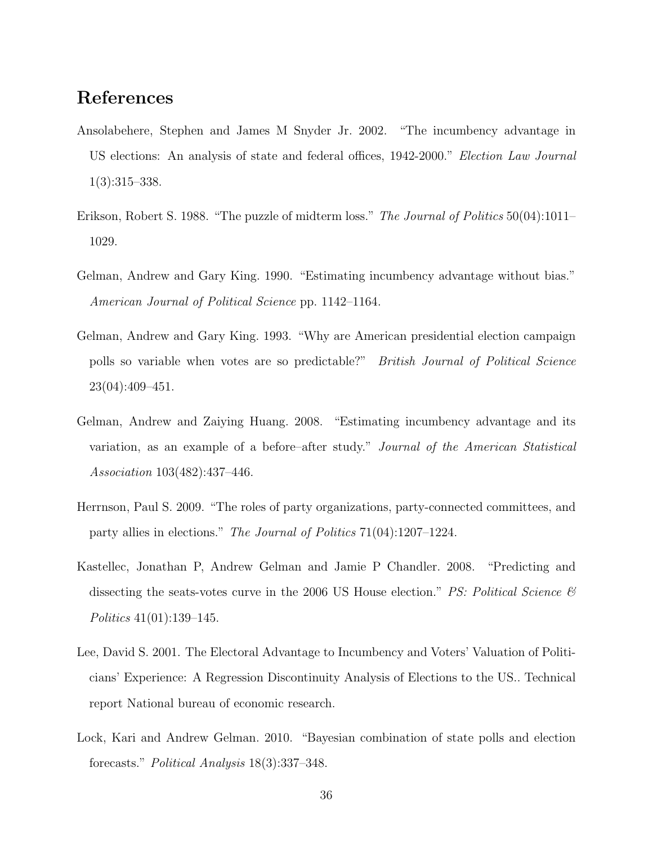# References

- <span id="page-35-3"></span>Ansolabehere, Stephen and James M Snyder Jr. 2002. "The incumbency advantage in US elections: An analysis of state and federal offices, 1942-2000." Election Law Journal 1(3):315–338.
- <span id="page-35-5"></span>Erikson, Robert S. 1988. "The puzzle of midterm loss." The Journal of Politics 50(04):1011– 1029.
- <span id="page-35-1"></span>Gelman, Andrew and Gary King. 1990. "Estimating incumbency advantage without bias." American Journal of Political Science pp. 1142–1164.
- <span id="page-35-7"></span>Gelman, Andrew and Gary King. 1993. "Why are American presidential election campaign polls so variable when votes are so predictable?" British Journal of Political Science 23(04):409–451.
- <span id="page-35-0"></span>Gelman, Andrew and Zaiying Huang. 2008. "Estimating incumbency advantage and its variation, as an example of a before–after study." Journal of the American Statistical Association 103(482):437–446.
- <span id="page-35-6"></span>Herrnson, Paul S. 2009. "The roles of party organizations, party-connected committees, and party allies in elections." The Journal of Politics 71(04):1207–1224.
- <span id="page-35-2"></span>Kastellec, Jonathan P, Andrew Gelman and Jamie P Chandler. 2008. "Predicting and dissecting the seats-votes curve in the 2006 US House election." PS: Political Science  $\mathcal{C}$ Politics 41(01):139–145.
- <span id="page-35-4"></span>Lee, David S. 2001. The Electoral Advantage to Incumbency and Voters' Valuation of Politicians' Experience: A Regression Discontinuity Analysis of Elections to the US.. Technical report National bureau of economic research.
- <span id="page-35-8"></span>Lock, Kari and Andrew Gelman. 2010. "Bayesian combination of state polls and election forecasts." Political Analysis 18(3):337–348.